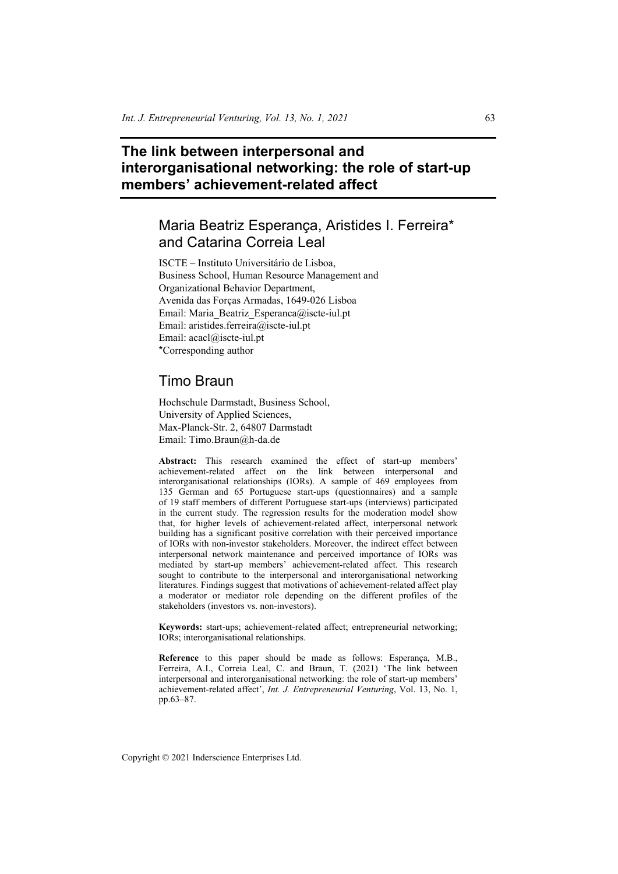# **The link between interpersonal and interorganisational networking: the role of start-up members' achievement-related affect**

# Maria Beatriz Esperança, Aristides I. Ferreira\* and Catarina Correia Leal

ISCTE – Instituto Universitário de Lisboa, Business School, Human Resource Management and Organizational Behavior Department, Avenida das Forças Armadas, 1649-026 Lisboa Email: Maria\_Beatriz\_Esperanca@iscte-iul.pt Email: aristides.ferreira@iscte-iul.pt Email: acacl@iscte-iul.pt \*Corresponding author

# Timo Braun

Hochschule Darmstadt, Business School, University of Applied Sciences, Max-Planck-Str. 2, 64807 Darmstadt Email: Timo.Braun@h-da.de

**Abstract:** This research examined the effect of start-up members' achievement-related affect on the link between interpersonal and interorganisational relationships (IORs). A sample of 469 employees from 135 German and 65 Portuguese start-ups (questionnaires) and a sample of 19 staff members of different Portuguese start-ups (interviews) participated in the current study. The regression results for the moderation model show that, for higher levels of achievement-related affect, interpersonal network building has a significant positive correlation with their perceived importance of IORs with non-investor stakeholders. Moreover, the indirect effect between interpersonal network maintenance and perceived importance of IORs was mediated by start-up members' achievement-related affect. This research sought to contribute to the interpersonal and interorganisational networking literatures. Findings suggest that motivations of achievement-related affect play a moderator or mediator role depending on the different profiles of the stakeholders (investors vs. non-investors).

**Keywords:** start-ups; achievement-related affect; entrepreneurial networking; IORs; interorganisational relationships.

**Reference** to this paper should be made as follows: Esperança, M.B., Ferreira, A.I., Correia Leal, C. and Braun, T. (2021) 'The link between interpersonal and interorganisational networking: the role of start-up members' achievement-related affect', *Int. J. Entrepreneurial Venturing*, Vol. 13, No. 1, pp.63–87.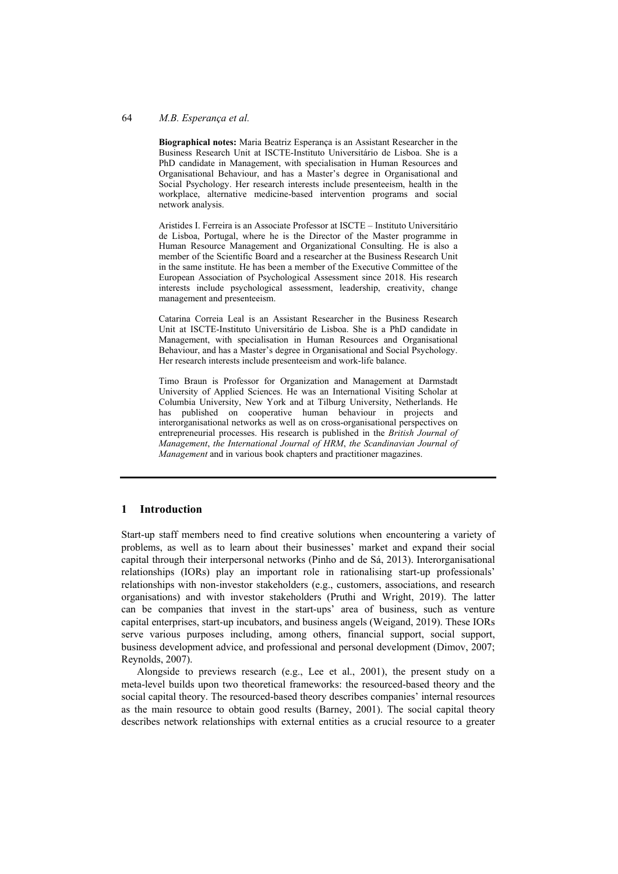#### 64 *M.B. Esperança et al.*

**Biographical notes:** Maria Beatriz Esperança is an Assistant Researcher in the Business Research Unit at ISCTE-Instituto Universitário de Lisboa. She is a PhD candidate in Management, with specialisation in Human Resources and Organisational Behaviour, and has a Master's degree in Organisational and Social Psychology. Her research interests include presenteeism, health in the workplace, alternative medicine-based intervention programs and social network analysis.

Aristides I. Ferreira is an Associate Professor at ISCTE – Instituto Universitário de Lisboa, Portugal, where he is the Director of the Master programme in Human Resource Management and Organizational Consulting. He is also a member of the Scientific Board and a researcher at the Business Research Unit in the same institute. He has been a member of the Executive Committee of the European Association of Psychological Assessment since 2018. His research interests include psychological assessment, leadership, creativity, change management and presenteeism.

Catarina Correia Leal is an Assistant Researcher in the Business Research Unit at ISCTE-Instituto Universitário de Lisboa. She is a PhD candidate in Management, with specialisation in Human Resources and Organisational Behaviour, and has a Master's degree in Organisational and Social Psychology. Her research interests include presenteeism and work-life balance.

Timo Braun is Professor for Organization and Management at Darmstadt University of Applied Sciences. He was an International Visiting Scholar at Columbia University, New York and at Tilburg University, Netherlands. He has published on cooperative human behaviour in projects and interorganisational networks as well as on cross-organisational perspectives on entrepreneurial processes. His research is published in the *British Journal of Management*, *the International Journal of HRM*, *the Scandinavian Journal of Management* and in various book chapters and practitioner magazines.

### **1 Introduction**

Start-up staff members need to find creative solutions when encountering a variety of problems, as well as to learn about their businesses' market and expand their social capital through their interpersonal networks (Pinho and de Sá, 2013). Interorganisational relationships (IORs) play an important role in rationalising start-up professionals' relationships with non-investor stakeholders (e.g., customers, associations, and research organisations) and with investor stakeholders (Pruthi and Wright, 2019). The latter can be companies that invest in the start-ups' area of business, such as venture capital enterprises, start-up incubators, and business angels (Weigand, 2019). These IORs serve various purposes including, among others, financial support, social support, business development advice, and professional and personal development (Dimov, 2007; Reynolds, 2007).

Alongside to previews research (e.g., Lee et al., 2001), the present study on a meta-level builds upon two theoretical frameworks: the resourced-based theory and the social capital theory. The resourced-based theory describes companies' internal resources as the main resource to obtain good results (Barney, 2001). The social capital theory describes network relationships with external entities as a crucial resource to a greater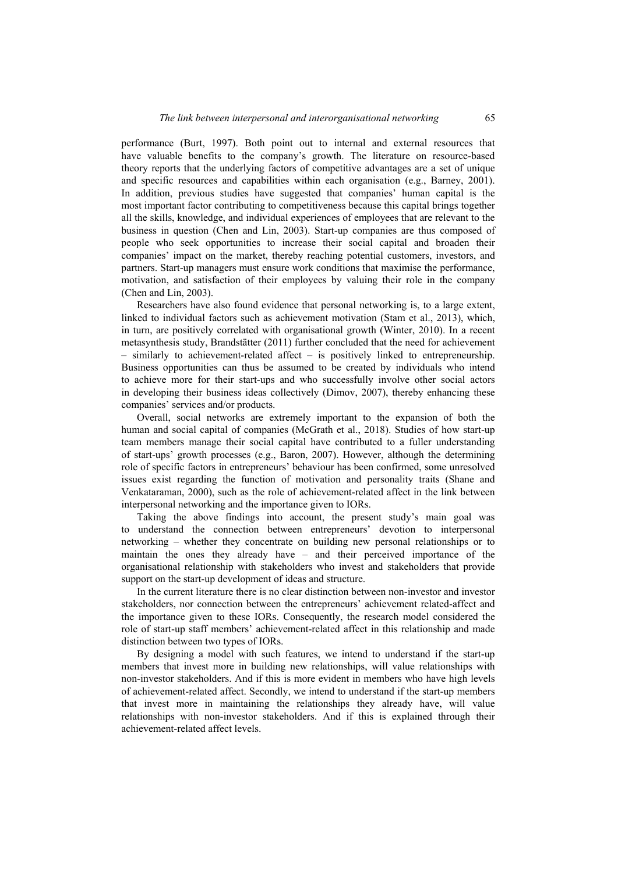performance (Burt, 1997). Both point out to internal and external resources that have valuable benefits to the company's growth. The literature on resource-based theory reports that the underlying factors of competitive advantages are a set of unique and specific resources and capabilities within each organisation (e.g., Barney, 2001). In addition, previous studies have suggested that companies' human capital is the most important factor contributing to competitiveness because this capital brings together all the skills, knowledge, and individual experiences of employees that are relevant to the business in question (Chen and Lin, 2003). Start-up companies are thus composed of people who seek opportunities to increase their social capital and broaden their companies' impact on the market, thereby reaching potential customers, investors, and partners. Start-up managers must ensure work conditions that maximise the performance, motivation, and satisfaction of their employees by valuing their role in the company (Chen and Lin, 2003).

Researchers have also found evidence that personal networking is, to a large extent, linked to individual factors such as achievement motivation (Stam et al., 2013), which, in turn, are positively correlated with organisational growth (Winter, 2010). In a recent metasynthesis study, Brandstätter (2011) further concluded that the need for achievement – similarly to achievement-related affect – is positively linked to entrepreneurship. Business opportunities can thus be assumed to be created by individuals who intend to achieve more for their start-ups and who successfully involve other social actors in developing their business ideas collectively (Dimov, 2007), thereby enhancing these companies' services and/or products.

Overall, social networks are extremely important to the expansion of both the human and social capital of companies (McGrath et al., 2018). Studies of how start-up team members manage their social capital have contributed to a fuller understanding of start-ups' growth processes (e.g., Baron, 2007). However, although the determining role of specific factors in entrepreneurs' behaviour has been confirmed, some unresolved issues exist regarding the function of motivation and personality traits (Shane and Venkataraman, 2000), such as the role of achievement-related affect in the link between interpersonal networking and the importance given to IORs.

Taking the above findings into account, the present study's main goal was to understand the connection between entrepreneurs' devotion to interpersonal networking – whether they concentrate on building new personal relationships or to maintain the ones they already have – and their perceived importance of the organisational relationship with stakeholders who invest and stakeholders that provide support on the start-up development of ideas and structure.

In the current literature there is no clear distinction between non-investor and investor stakeholders, nor connection between the entrepreneurs' achievement related-affect and the importance given to these IORs. Consequently, the research model considered the role of start-up staff members' achievement-related affect in this relationship and made distinction between two types of IORs.

By designing a model with such features, we intend to understand if the start-up members that invest more in building new relationships, will value relationships with non-investor stakeholders. And if this is more evident in members who have high levels of achievement-related affect. Secondly, we intend to understand if the start-up members that invest more in maintaining the relationships they already have, will value relationships with non-investor stakeholders. And if this is explained through their achievement-related affect levels.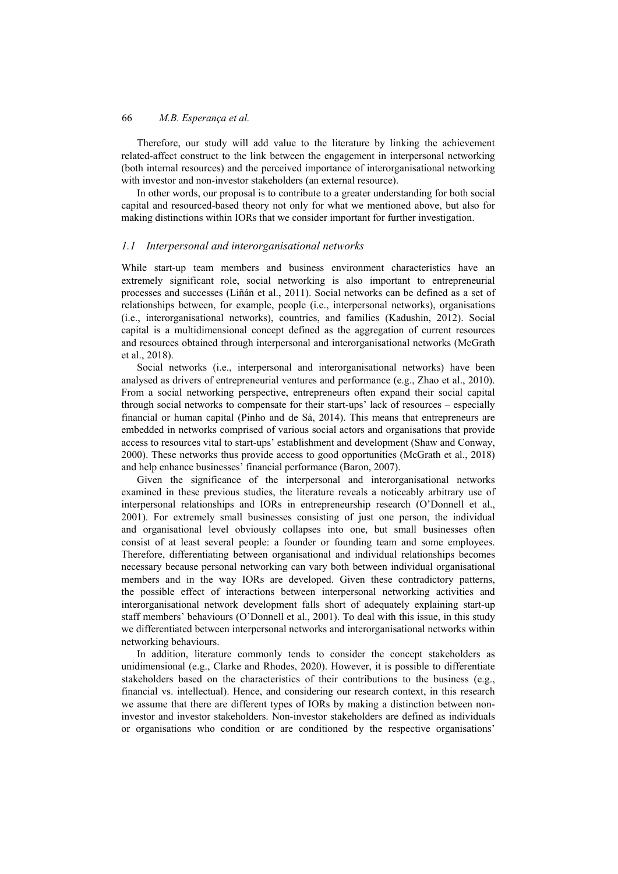Therefore, our study will add value to the literature by linking the achievement related-affect construct to the link between the engagement in interpersonal networking (both internal resources) and the perceived importance of interorganisational networking with investor and non-investor stakeholders (an external resource).

In other words, our proposal is to contribute to a greater understanding for both social capital and resourced-based theory not only for what we mentioned above, but also for making distinctions within IORs that we consider important for further investigation.

### *1.1 Interpersonal and interorganisational networks*

While start-up team members and business environment characteristics have an extremely significant role, social networking is also important to entrepreneurial processes and successes (Liñán et al., 2011). Social networks can be defined as a set of relationships between, for example, people (i.e., interpersonal networks), organisations (i.e., interorganisational networks), countries, and families (Kadushin, 2012). Social capital is a multidimensional concept defined as the aggregation of current resources and resources obtained through interpersonal and interorganisational networks (McGrath et al., 2018).

Social networks (i.e., interpersonal and interorganisational networks) have been analysed as drivers of entrepreneurial ventures and performance (e.g., Zhao et al., 2010). From a social networking perspective, entrepreneurs often expand their social capital through social networks to compensate for their start-ups' lack of resources – especially financial or human capital (Pinho and de Sá, 2014). This means that entrepreneurs are embedded in networks comprised of various social actors and organisations that provide access to resources vital to start-ups' establishment and development (Shaw and Conway, 2000). These networks thus provide access to good opportunities (McGrath et al., 2018) and help enhance businesses' financial performance (Baron, 2007).

Given the significance of the interpersonal and interorganisational networks examined in these previous studies, the literature reveals a noticeably arbitrary use of interpersonal relationships and IORs in entrepreneurship research (O'Donnell et al., 2001). For extremely small businesses consisting of just one person, the individual and organisational level obviously collapses into one, but small businesses often consist of at least several people: a founder or founding team and some employees. Therefore, differentiating between organisational and individual relationships becomes necessary because personal networking can vary both between individual organisational members and in the way IORs are developed. Given these contradictory patterns, the possible effect of interactions between interpersonal networking activities and interorganisational network development falls short of adequately explaining start-up staff members' behaviours (O'Donnell et al., 2001). To deal with this issue, in this study we differentiated between interpersonal networks and interorganisational networks within networking behaviours.

In addition, literature commonly tends to consider the concept stakeholders as unidimensional (e.g., Clarke and Rhodes, 2020). However, it is possible to differentiate stakeholders based on the characteristics of their contributions to the business (e.g., financial vs. intellectual). Hence, and considering our research context, in this research we assume that there are different types of IORs by making a distinction between noninvestor and investor stakeholders. Non-investor stakeholders are defined as individuals or organisations who condition or are conditioned by the respective organisations'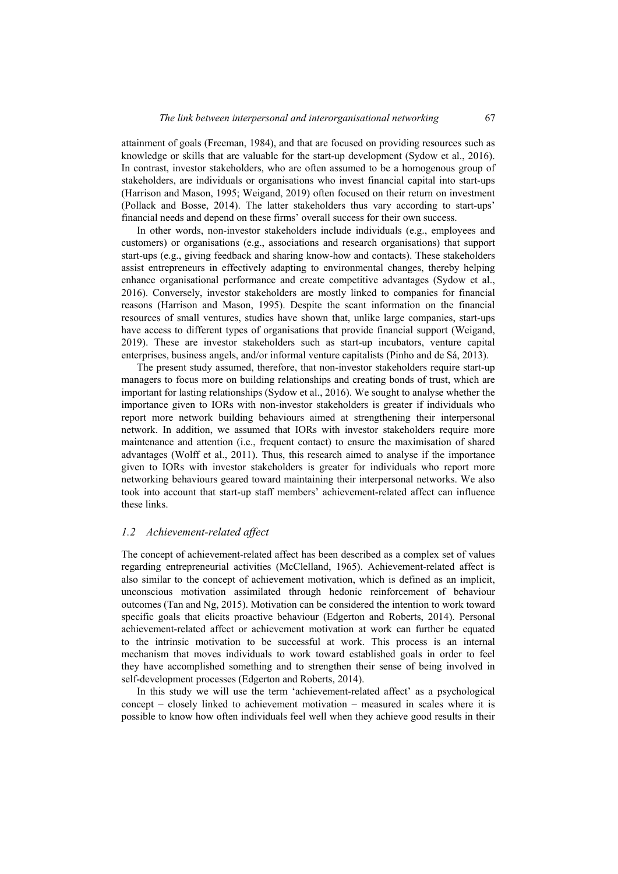attainment of goals (Freeman, 1984), and that are focused on providing resources such as knowledge or skills that are valuable for the start-up development (Sydow et al., 2016). In contrast, investor stakeholders, who are often assumed to be a homogenous group of stakeholders, are individuals or organisations who invest financial capital into start-ups (Harrison and Mason, 1995; Weigand, 2019) often focused on their return on investment (Pollack and Bosse, 2014). The latter stakeholders thus vary according to start-ups' financial needs and depend on these firms' overall success for their own success.

In other words, non-investor stakeholders include individuals (e.g., employees and customers) or organisations (e.g., associations and research organisations) that support start-ups (e.g., giving feedback and sharing know-how and contacts). These stakeholders assist entrepreneurs in effectively adapting to environmental changes, thereby helping enhance organisational performance and create competitive advantages (Sydow et al., 2016). Conversely, investor stakeholders are mostly linked to companies for financial reasons (Harrison and Mason, 1995). Despite the scant information on the financial resources of small ventures, studies have shown that, unlike large companies, start-ups have access to different types of organisations that provide financial support (Weigand, 2019). These are investor stakeholders such as start-up incubators, venture capital enterprises, business angels, and/or informal venture capitalists (Pinho and de Sá, 2013).

The present study assumed, therefore, that non-investor stakeholders require start-up managers to focus more on building relationships and creating bonds of trust, which are important for lasting relationships (Sydow et al., 2016). We sought to analyse whether the importance given to IORs with non-investor stakeholders is greater if individuals who report more network building behaviours aimed at strengthening their interpersonal network. In addition, we assumed that IORs with investor stakeholders require more maintenance and attention (i.e., frequent contact) to ensure the maximisation of shared advantages (Wolff et al., 2011). Thus, this research aimed to analyse if the importance given to IORs with investor stakeholders is greater for individuals who report more networking behaviours geared toward maintaining their interpersonal networks. We also took into account that start-up staff members' achievement-related affect can influence these links.

### *1.2 Achievement-related affect*

The concept of achievement-related affect has been described as a complex set of values regarding entrepreneurial activities (McClelland, 1965). Achievement-related affect is also similar to the concept of achievement motivation, which is defined as an implicit, unconscious motivation assimilated through hedonic reinforcement of behaviour outcomes (Tan and Ng, 2015). Motivation can be considered the intention to work toward specific goals that elicits proactive behaviour (Edgerton and Roberts, 2014). Personal achievement-related affect or achievement motivation at work can further be equated to the intrinsic motivation to be successful at work. This process is an internal mechanism that moves individuals to work toward established goals in order to feel they have accomplished something and to strengthen their sense of being involved in self-development processes (Edgerton and Roberts, 2014).

In this study we will use the term 'achievement-related affect' as a psychological concept – closely linked to achievement motivation – measured in scales where it is possible to know how often individuals feel well when they achieve good results in their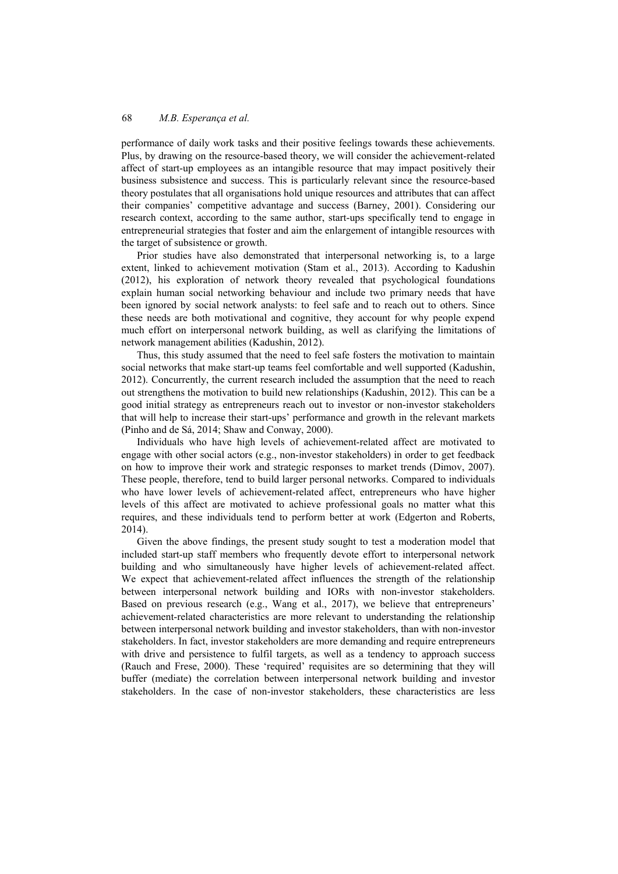performance of daily work tasks and their positive feelings towards these achievements. Plus, by drawing on the resource-based theory, we will consider the achievement-related affect of start-up employees as an intangible resource that may impact positively their business subsistence and success. This is particularly relevant since the resource-based theory postulates that all organisations hold unique resources and attributes that can affect their companies' competitive advantage and success (Barney, 2001). Considering our research context, according to the same author, start-ups specifically tend to engage in entrepreneurial strategies that foster and aim the enlargement of intangible resources with the target of subsistence or growth.

Prior studies have also demonstrated that interpersonal networking is, to a large extent, linked to achievement motivation (Stam et al., 2013). According to Kadushin (2012), his exploration of network theory revealed that psychological foundations explain human social networking behaviour and include two primary needs that have been ignored by social network analysts: to feel safe and to reach out to others. Since these needs are both motivational and cognitive, they account for why people expend much effort on interpersonal network building, as well as clarifying the limitations of network management abilities (Kadushin, 2012).

Thus, this study assumed that the need to feel safe fosters the motivation to maintain social networks that make start-up teams feel comfortable and well supported (Kadushin, 2012). Concurrently, the current research included the assumption that the need to reach out strengthens the motivation to build new relationships (Kadushin, 2012). This can be a good initial strategy as entrepreneurs reach out to investor or non-investor stakeholders that will help to increase their start-ups' performance and growth in the relevant markets (Pinho and de Sá, 2014; Shaw and Conway, 2000).

Individuals who have high levels of achievement-related affect are motivated to engage with other social actors (e.g., non-investor stakeholders) in order to get feedback on how to improve their work and strategic responses to market trends (Dimov, 2007). These people, therefore, tend to build larger personal networks. Compared to individuals who have lower levels of achievement-related affect, entrepreneurs who have higher levels of this affect are motivated to achieve professional goals no matter what this requires, and these individuals tend to perform better at work (Edgerton and Roberts, 2014).

Given the above findings, the present study sought to test a moderation model that included start-up staff members who frequently devote effort to interpersonal network building and who simultaneously have higher levels of achievement-related affect. We expect that achievement-related affect influences the strength of the relationship between interpersonal network building and IORs with non-investor stakeholders. Based on previous research (e.g., Wang et al., 2017), we believe that entrepreneurs' achievement-related characteristics are more relevant to understanding the relationship between interpersonal network building and investor stakeholders, than with non-investor stakeholders. In fact, investor stakeholders are more demanding and require entrepreneurs with drive and persistence to fulfil targets, as well as a tendency to approach success (Rauch and Frese, 2000). These 'required' requisites are so determining that they will buffer (mediate) the correlation between interpersonal network building and investor stakeholders. In the case of non-investor stakeholders, these characteristics are less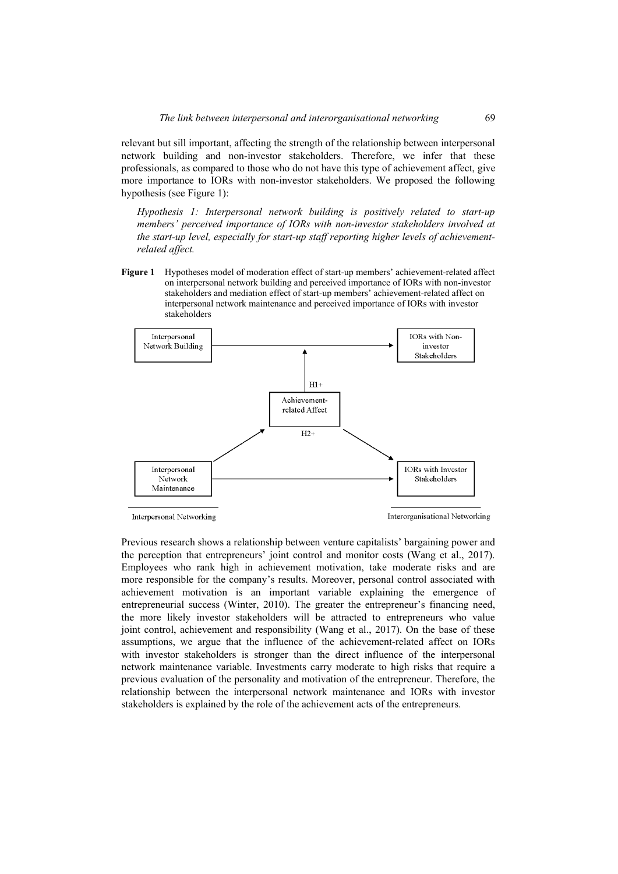relevant but sill important, affecting the strength of the relationship between interpersonal network building and non-investor stakeholders. Therefore, we infer that these professionals, as compared to those who do not have this type of achievement affect, give more importance to IORs with non-investor stakeholders. We proposed the following hypothesis (see Figure 1):

*Hypothesis 1: Interpersonal network building is positively related to start-up members' perceived importance of IORs with non-investor stakeholders involved at the start-up level, especially for start-up staff reporting higher levels of achievementrelated affect.* 

**Figure 1** Hypotheses model of moderation effect of start-up members' achievement-related affect on interpersonal network building and perceived importance of IORs with non-investor stakeholders and mediation effect of start-up members' achievement-related affect on interpersonal network maintenance and perceived importance of IORs with investor stakeholders



Interpersonal Networking

Interorganisational Networking

Previous research shows a relationship between venture capitalists' bargaining power and the perception that entrepreneurs' joint control and monitor costs (Wang et al., 2017). Employees who rank high in achievement motivation, take moderate risks and are more responsible for the company's results. Moreover, personal control associated with achievement motivation is an important variable explaining the emergence of entrepreneurial success (Winter, 2010). The greater the entrepreneur's financing need, the more likely investor stakeholders will be attracted to entrepreneurs who value joint control, achievement and responsibility (Wang et al., 2017). On the base of these assumptions, we argue that the influence of the achievement-related affect on IORs with investor stakeholders is stronger than the direct influence of the interpersonal network maintenance variable. Investments carry moderate to high risks that require a previous evaluation of the personality and motivation of the entrepreneur. Therefore, the relationship between the interpersonal network maintenance and IORs with investor stakeholders is explained by the role of the achievement acts of the entrepreneurs.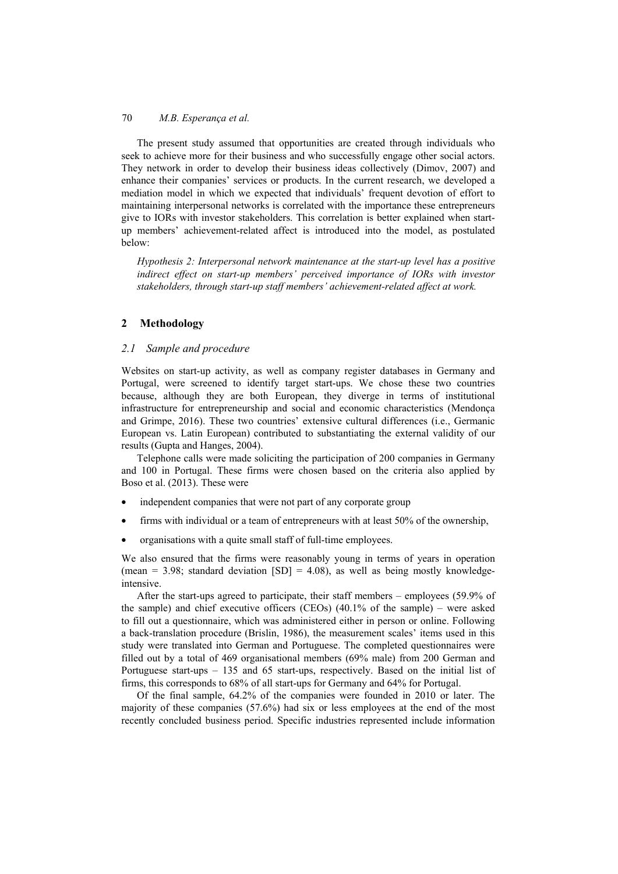The present study assumed that opportunities are created through individuals who seek to achieve more for their business and who successfully engage other social actors. They network in order to develop their business ideas collectively (Dimov, 2007) and enhance their companies' services or products. In the current research, we developed a mediation model in which we expected that individuals' frequent devotion of effort to maintaining interpersonal networks is correlated with the importance these entrepreneurs give to IORs with investor stakeholders. This correlation is better explained when startup members' achievement-related affect is introduced into the model, as postulated below:

*Hypothesis 2: Interpersonal network maintenance at the start-up level has a positive*  indirect effect on start-up members' perceived importance of IORs with investor *stakeholders, through start-up staff members' achievement-related affect at work.* 

# **2 Methodology**

# *2.1 Sample and procedure*

Websites on start-up activity, as well as company register databases in Germany and Portugal, were screened to identify target start-ups. We chose these two countries because, although they are both European, they diverge in terms of institutional infrastructure for entrepreneurship and social and economic characteristics (Mendonça and Grimpe, 2016). These two countries' extensive cultural differences (i.e., Germanic European vs. Latin European) contributed to substantiating the external validity of our results (Gupta and Hanges, 2004).

Telephone calls were made soliciting the participation of 200 companies in Germany and 100 in Portugal. These firms were chosen based on the criteria also applied by Boso et al. (2013). These were

- independent companies that were not part of any corporate group
- firms with individual or a team of entrepreneurs with at least 50% of the ownership,
- organisations with a quite small staff of full-time employees.

We also ensured that the firms were reasonably young in terms of years in operation (mean = 3.98; standard deviation  $[SD] = 4.08$ ), as well as being mostly knowledgeintensive.

After the start-ups agreed to participate, their staff members – employees (59.9% of the sample) and chief executive officers (CEOs) (40.1% of the sample) – were asked to fill out a questionnaire, which was administered either in person or online. Following a back-translation procedure (Brislin, 1986), the measurement scales' items used in this study were translated into German and Portuguese. The completed questionnaires were filled out by a total of 469 organisational members (69% male) from 200 German and Portuguese start-ups – 135 and 65 start-ups, respectively. Based on the initial list of firms, this corresponds to 68% of all start-ups for Germany and 64% for Portugal.

Of the final sample, 64.2% of the companies were founded in 2010 or later. The majority of these companies (57.6%) had six or less employees at the end of the most recently concluded business period. Specific industries represented include information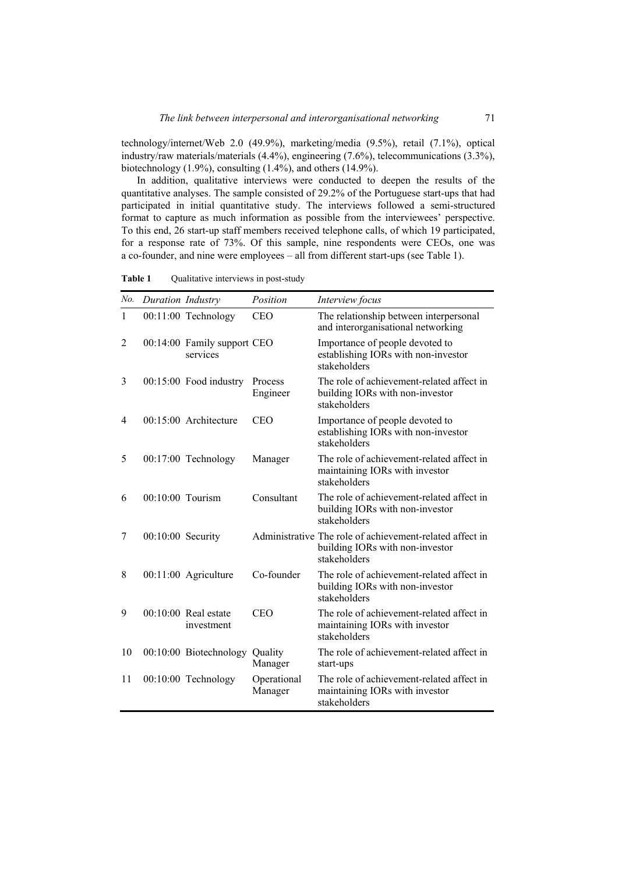technology/internet/Web 2.0 (49.9%), marketing/media (9.5%), retail (7.1%), optical industry/raw materials/materials (4.4%), engineering (7.6%), telecommunications (3.3%), biotechnology  $(1.9\%)$ , consulting  $(1.4\%)$ , and others  $(14.9\%)$ .

In addition, qualitative interviews were conducted to deepen the results of the quantitative analyses. The sample consisted of 29.2% of the Portuguese start-ups that had participated in initial quantitative study. The interviews followed a semi-structured format to capture as much information as possible from the interviewees' perspective. To this end, 26 start-up staff members received telephone calls, of which 19 participated, for a response rate of 73%. Of this sample, nine respondents were CEOs, one was a co-founder, and nine were employees – all from different start-ups (see Table 1).

| No.          | Duration Industry  |                                         | Position               | Interview focus                                                                                             |
|--------------|--------------------|-----------------------------------------|------------------------|-------------------------------------------------------------------------------------------------------------|
| $\mathbf{1}$ |                    | $00:11:00$ Technology                   | <b>CEO</b>             | The relationship between interpersonal<br>and interorganisational networking                                |
| 2            |                    | 00:14:00 Family support CEO<br>services |                        | Importance of people devoted to<br>establishing IORs with non-investor<br>stakeholders                      |
| 3            |                    | 00:15:00 Food industry                  | Process<br>Engineer    | The role of achievement-related affect in<br>building IORs with non-investor<br>stakeholders                |
| 4            |                    | $00:15:00$ Architecture                 | <b>CEO</b>             | Importance of people devoted to<br>establishing IORs with non-investor<br>stakeholders                      |
| 5            |                    | 00:17:00 Technology                     | Manager                | The role of achievement-related affect in<br>maintaining IORs with investor<br>stakeholders                 |
| 6            | $00:10:00$ Tourism |                                         | Consultant             | The role of achievement-related affect in<br>building IORs with non-investor<br>stakeholders                |
| 7            | 00:10:00 Security  |                                         |                        | Administrative The role of achievement-related affect in<br>building IORs with non-investor<br>stakeholders |
| 8            |                    | 00:11:00 Agriculture                    | Co-founder             | The role of achievement-related affect in<br>building IORs with non-investor<br>stakeholders                |
| 9            |                    | $00:10:00$ Real estate<br>investment    | <b>CEO</b>             | The role of achievement-related affect in<br>maintaining IORs with investor<br>stakeholders                 |
| 10           |                    | 00:10:00 Biotechnology                  | Quality<br>Manager     | The role of achievement-related affect in<br>start-ups                                                      |
| 11           |                    | 00:10:00 Technology                     | Operational<br>Manager | The role of achievement-related affect in<br>maintaining IORs with investor<br>stakeholders                 |

Table 1 Qualitative interviews in post-study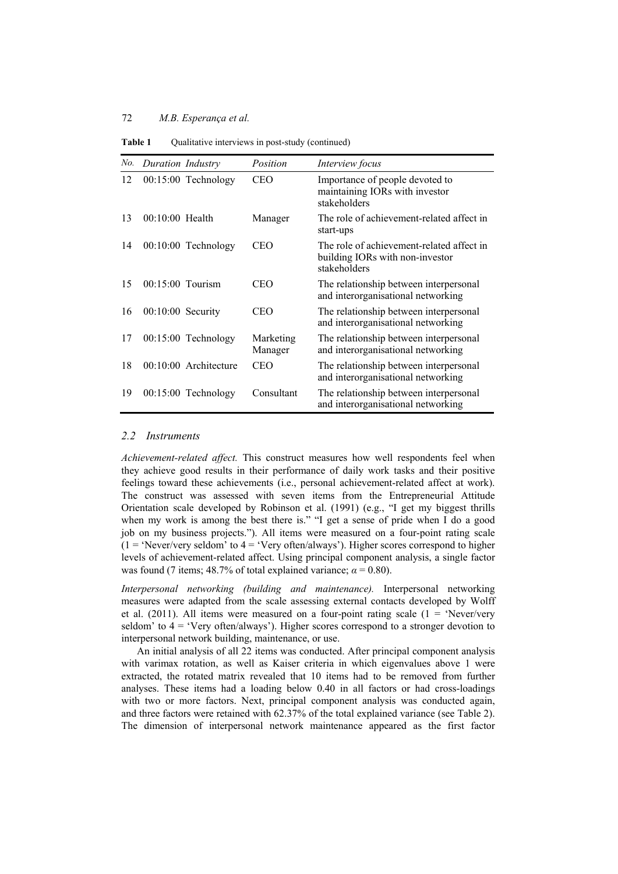| No. | Duration Industry   |                         | Position             | Interview focus                                                                              |
|-----|---------------------|-------------------------|----------------------|----------------------------------------------------------------------------------------------|
| 12  |                     | $00:15:00$ Technology   | <b>CEO</b>           | Importance of people devoted to<br>maintaining IORs with investor<br>stakeholders            |
| 13  | $00:10:00$ Health   |                         | Manager              | The role of achievement-related affect in<br>start-ups                                       |
| 14  |                     | $00:10:00$ Technology   | CEO                  | The role of achievement-related affect in<br>building IORs with non-investor<br>stakeholders |
| 15  | $00:15:00$ Tourism  |                         | <b>CEO</b>           | The relationship between interpersonal<br>and interorganisational networking                 |
| 16  | $00:10:00$ Security |                         | <b>CEO</b>           | The relationship between interpersonal<br>and interorganisational networking                 |
| 17  |                     | $00:15:00$ Technology   | Marketing<br>Manager | The relationship between interpersonal<br>and interorganisational networking                 |
| 18  |                     | $00:10:00$ Architecture | <b>CEO</b>           | The relationship between interpersonal<br>and interorganisational networking                 |
| 19  |                     | $00:15:00$ Technology   | Consultant           | The relationship between interpersonal<br>and interorganisational networking                 |

**Table 1** Qualitative interviews in post-study (continued)

### *2.2 Instruments*

*Achievement-related affect.* This construct measures how well respondents feel when they achieve good results in their performance of daily work tasks and their positive feelings toward these achievements (i.e., personal achievement-related affect at work). The construct was assessed with seven items from the Entrepreneurial Attitude Orientation scale developed by Robinson et al. (1991) (e.g., "I get my biggest thrills when my work is among the best there is." "I get a sense of pride when I do a good job on my business projects."). All items were measured on a four-point rating scale  $(1 -$  'Never/very seldom' to  $4 -$  'Very often/always'). Higher scores correspond to higher levels of achievement-related affect. Using principal component analysis, a single factor was found (7 items; 48.7% of total explained variance;  $\alpha = 0.80$ ).

*Interpersonal networking (building and maintenance).* Interpersonal networking measures were adapted from the scale assessing external contacts developed by Wolff et al. (2011). All items were measured on a four-point rating scale ( $1 =$  'Never/very seldom' to  $4 =$  'Very often/always'). Higher scores correspond to a stronger devotion to interpersonal network building, maintenance, or use.

An initial analysis of all 22 items was conducted. After principal component analysis with varimax rotation, as well as Kaiser criteria in which eigenvalues above 1 were extracted, the rotated matrix revealed that 10 items had to be removed from further analyses. These items had a loading below 0.40 in all factors or had cross-loadings with two or more factors. Next, principal component analysis was conducted again, and three factors were retained with 62.37% of the total explained variance (see Table 2). The dimension of interpersonal network maintenance appeared as the first factor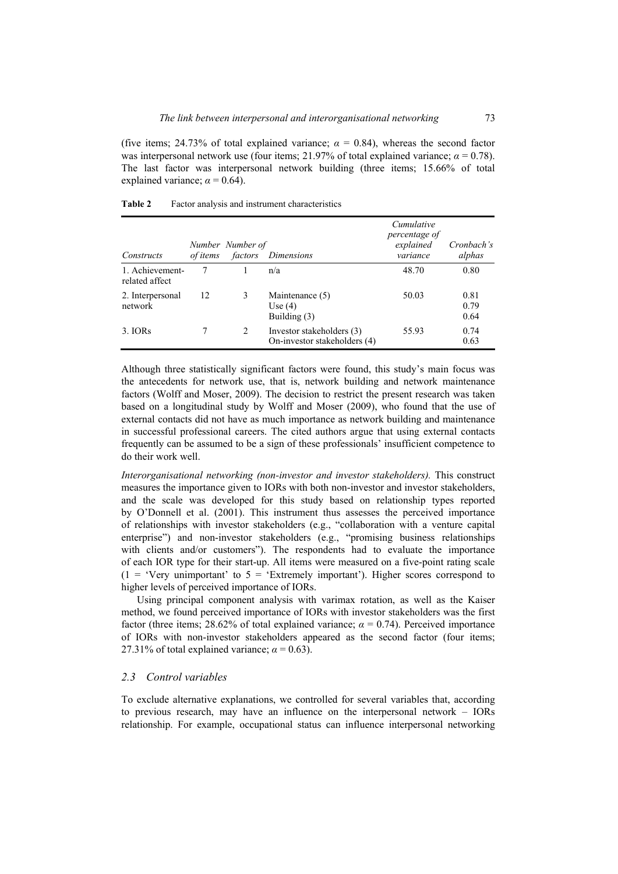(five items: 24.73% of total explained variance;  $\alpha = 0.84$ ), whereas the second factor was interpersonal network use (four items; 21.97% of total explained variance;  $\alpha = 0.78$ ). The last factor was interpersonal network building (three items; 15.66% of total explained variance;  $\alpha = 0.64$ ).

| Constructs                        | of items | Number Number of<br>factors | <i>Dimensions</i>                                         | Cumulative<br>percentage of<br>explained<br>variance | Cronbach's<br>alphas |
|-----------------------------------|----------|-----------------------------|-----------------------------------------------------------|------------------------------------------------------|----------------------|
| 1. Achievement-<br>related affect |          |                             | n/a                                                       | 48.70                                                | 0.80                 |
| 2. Interpersonal<br>network       | 12       | 3                           | Maintenance (5)<br>Use $(4)$<br>Building $(3)$            | 50.03                                                | 0.81<br>0.79<br>0.64 |
| 3. IORS                           |          | 2                           | Investor stakeholders (3)<br>On-investor stakeholders (4) | 55.93                                                | 0.74<br>0.63         |

| Table 2 | Factor analysis and instrument characteristics |  |
|---------|------------------------------------------------|--|
|---------|------------------------------------------------|--|

Although three statistically significant factors were found, this study's main focus was the antecedents for network use, that is, network building and network maintenance factors (Wolff and Moser, 2009). The decision to restrict the present research was taken based on a longitudinal study by Wolff and Moser (2009), who found that the use of external contacts did not have as much importance as network building and maintenance in successful professional careers. The cited authors argue that using external contacts frequently can be assumed to be a sign of these professionals' insufficient competence to do their work well.

*Interorganisational networking (non-investor and investor stakeholders).* This construct measures the importance given to IORs with both non-investor and investor stakeholders, and the scale was developed for this study based on relationship types reported by O'Donnell et al. (2001). This instrument thus assesses the perceived importance of relationships with investor stakeholders (e.g., "collaboration with a venture capital enterprise") and non-investor stakeholders (e.g., "promising business relationships with clients and/or customers"). The respondents had to evaluate the importance of each IOR type for their start-up. All items were measured on a five-point rating scale  $(1 = 'Very unimportant' to 5 = 'Extremely important').$  Higher scores correspond to higher levels of perceived importance of IORs.

Using principal component analysis with varimax rotation, as well as the Kaiser method, we found perceived importance of IORs with investor stakeholders was the first factor (three items; 28.62% of total explained variance;  $\alpha = 0.74$ ). Perceived importance of IORs with non-investor stakeholders appeared as the second factor (four items; 27.31% of total explained variance;  $\alpha = 0.63$ ).

### *2.3 Control variables*

To exclude alternative explanations, we controlled for several variables that, according to previous research, may have an influence on the interpersonal network – IORs relationship. For example, occupational status can influence interpersonal networking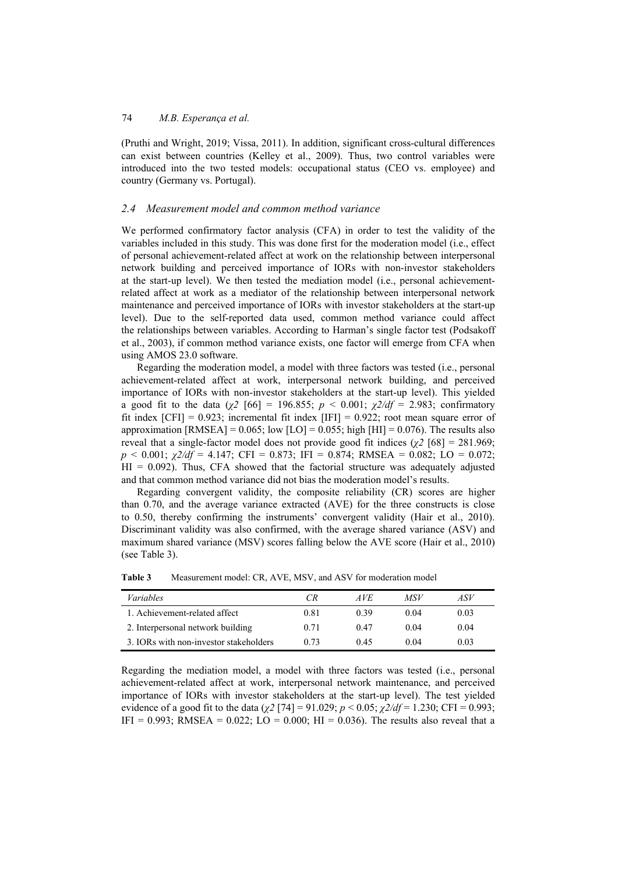(Pruthi and Wright, 2019; Vissa, 2011). In addition, significant cross-cultural differences can exist between countries (Kelley et al., 2009). Thus, two control variables were introduced into the two tested models: occupational status (CEO vs. employee) and country (Germany vs. Portugal).

### *2.4 Measurement model and common method variance*

We performed confirmatory factor analysis (CFA) in order to test the validity of the variables included in this study. This was done first for the moderation model (i.e., effect of personal achievement-related affect at work on the relationship between interpersonal network building and perceived importance of IORs with non-investor stakeholders at the start-up level). We then tested the mediation model (i.e., personal achievementrelated affect at work as a mediator of the relationship between interpersonal network maintenance and perceived importance of IORs with investor stakeholders at the start-up level). Due to the self-reported data used, common method variance could affect the relationships between variables. According to Harman's single factor test (Podsakoff et al., 2003), if common method variance exists, one factor will emerge from CFA when using AMOS 23.0 software.

Regarding the moderation model, a model with three factors was tested (i.e., personal achievement-related affect at work, interpersonal network building, and perceived importance of IORs with non-investor stakeholders at the start-up level). This yielded a good fit to the data ( $\chi$ <sup>2</sup> [66] = 196.855; *p* < 0.001;  $\chi$ 2/df = 2.983; confirmatory fit index  $[CFI] = 0.923$ ; incremental fit index  $[IFI] = 0.922$ ; root mean square error of approximation  $[RMSEA] = 0.065$ ; low  $[LO] = 0.055$ ; high  $[HII] = 0.076$ ). The results also reveal that a single-factor model does not provide good fit indices ( $\chi^2$  [68] = 281.969; *p* < 0.001; *χ2/df* = 4.147; CFI = 0.873; IFI = 0.874; RMSEA = 0.082; LO = 0.072;  $HI = 0.092$ ). Thus, CFA showed that the factorial structure was adequately adjusted and that common method variance did not bias the moderation model's results.

Regarding convergent validity, the composite reliability (CR) scores are higher than 0.70, and the average variance extracted (AVE) for the three constructs is close to 0.50, thereby confirming the instruments' convergent validity (Hair et al., 2010). Discriminant validity was also confirmed, with the average shared variance (ASV) and maximum shared variance (MSV) scores falling below the AVE score (Hair et al., 2010) (see Table 3).

| <i>Variables</i>                       | CR.  | AVE. | MSV  | ASV  |
|----------------------------------------|------|------|------|------|
| 1. Achievement-related affect          | 0.81 | 0.39 | 0.04 | 0.03 |
| 2. Interpersonal network building      | 0.71 | 0.47 | 0.04 | 0.04 |
| 3. IORs with non-investor stakeholders | 0.73 | 0.45 | 0.04 | 0.03 |

**Table 3** Measurement model: CR, AVE, MSV, and ASV for moderation model

Regarding the mediation model, a model with three factors was tested (i.e., personal achievement-related affect at work, interpersonal network maintenance, and perceived importance of IORs with investor stakeholders at the start-up level). The test yielded evidence of a good fit to the data (*χ2* [74] = 91.029; *p* < 0.05; *χ2/df* = 1.230; CFI = 0.993; IFI = 0.993; RMSEA = 0.022; LO = 0.000; HI = 0.036). The results also reveal that a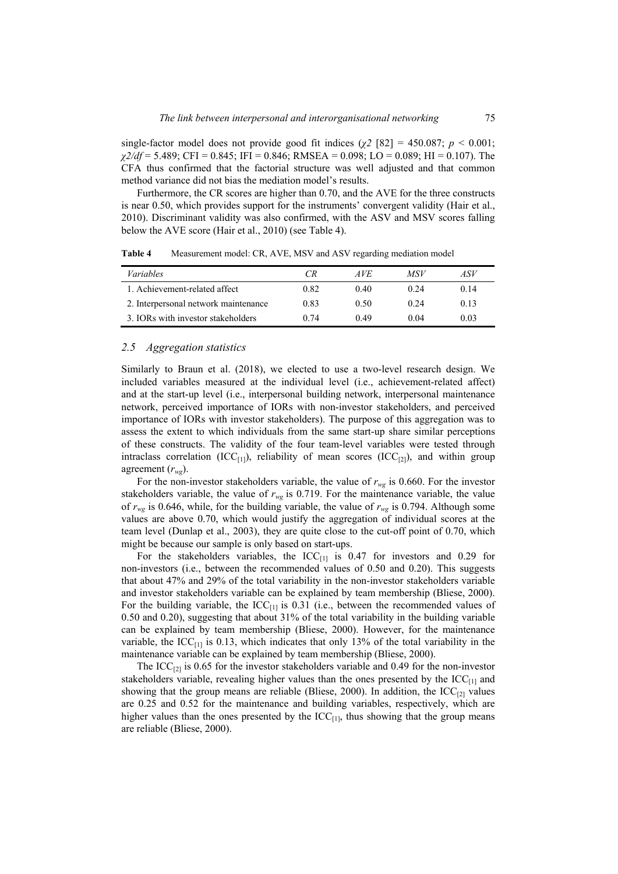single-factor model does not provide good fit indices ( $\chi$ 2 [82] = 450.087; *p* < 0.001; *χ2/df* = 5.489; CFI = 0.845; IFI = 0.846; RMSEA = 0.098; LO = 0.089; HI = 0.107). The CFA thus confirmed that the factorial structure was well adjusted and that common method variance did not bias the mediation model's results.

Furthermore, the CR scores are higher than 0.70, and the AVE for the three constructs is near 0.50, which provides support for the instruments' convergent validity (Hair et al., 2010). Discriminant validity was also confirmed, with the ASV and MSV scores falling below the AVE score (Hair et al., 2010) (see Table 4).

| <i>Variables</i>                     | CR   | AVE. | MSV  | ASV  |
|--------------------------------------|------|------|------|------|
| 1. Achievement-related affect        | 0.82 | 040  | 0.24 | 0.14 |
| 2. Interpersonal network maintenance | 0.83 | 0.50 | 0.24 | 0.13 |
| 3. IORs with investor stakeholders   | 0.74 | 0.49 | 0.04 | 0.03 |

**Table 4** Measurement model: CR, AVE, MSV and ASV regarding mediation model

#### *2.5 Aggregation statistics*

Similarly to Braun et al. (2018), we elected to use a two-level research design. We included variables measured at the individual level (i.e., achievement-related affect) and at the start-up level (i.e., interpersonal building network, interpersonal maintenance network, perceived importance of IORs with non-investor stakeholders, and perceived importance of IORs with investor stakeholders). The purpose of this aggregation was to assess the extent to which individuals from the same start-up share similar perceptions of these constructs. The validity of the four team-level variables were tested through intraclass correlation (ICC<sub>[1]</sub>), reliability of mean scores (ICC<sub>[2]</sub>), and within group agreement  $(r_{wg})$ .

For the non-investor stakeholders variable, the value of  $r_{wg}$  is 0.660. For the investor stakeholders variable, the value of  $r_{wg}$  is 0.719. For the maintenance variable, the value of  $r_{wg}$  is 0.646, while, for the building variable, the value of  $r_{wg}$  is 0.794. Although some values are above 0.70, which would justify the aggregation of individual scores at the team level (Dunlap et al., 2003), they are quite close to the cut-off point of 0.70, which might be because our sample is only based on start-ups.

For the stakeholders variables, the  $ICC_{[1]}$  is 0.47 for investors and 0.29 for non-investors (i.e., between the recommended values of 0.50 and 0.20). This suggests that about 47% and 29% of the total variability in the non-investor stakeholders variable and investor stakeholders variable can be explained by team membership (Bliese, 2000). For the building variable, the  $ICC_{11}$  is 0.31 (i.e., between the recommended values of 0.50 and 0.20), suggesting that about 31% of the total variability in the building variable can be explained by team membership (Bliese, 2000). However, for the maintenance variable, the ICC $_{[1]}$  is 0.13, which indicates that only 13% of the total variability in the maintenance variable can be explained by team membership (Bliese, 2000).

The  $ICC<sub>[21]</sub>$  is 0.65 for the investor stakeholders variable and 0.49 for the non-investor stakeholders variable, revealing higher values than the ones presented by the  $ICC<sub>[1]</sub>$  and showing that the group means are reliable (Bliese, 2000). In addition, the  $\text{ICC}_{[2]}$  values are 0.25 and 0.52 for the maintenance and building variables, respectively, which are higher values than the ones presented by the  $\text{ICC}_{[1]}$ , thus showing that the group means are reliable (Bliese, 2000).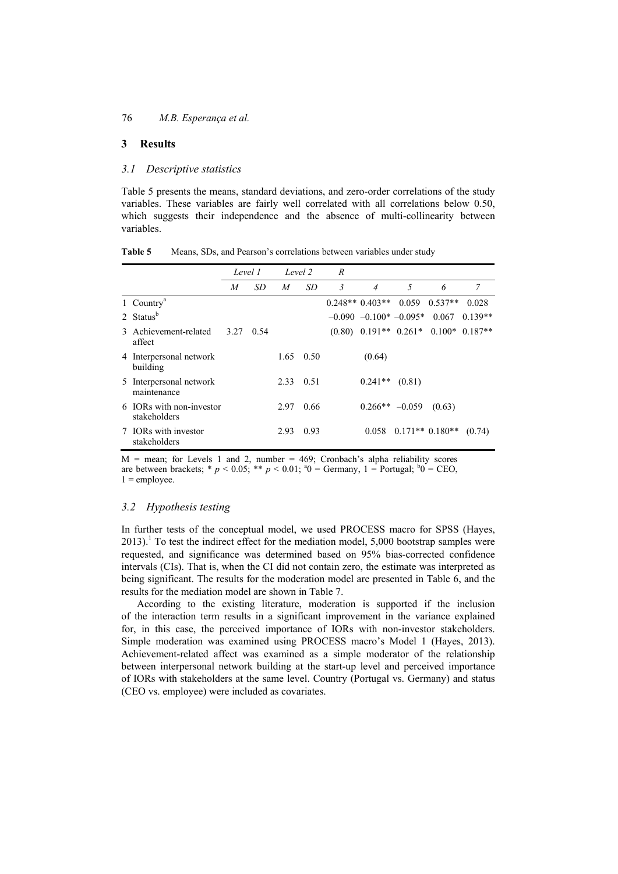# **3 Results**

## *3.1 Descriptive statistics*

Table 5 presents the means, standard deviations, and zero-order correlations of the study variables. These variables are fairly well correlated with all correlations below 0.50, which suggests their independence and the absence of multi-collinearity between variables.

|                                          | Level 1 |      | Level 2 |           | R |                                                |        |                             |           |
|------------------------------------------|---------|------|---------|-----------|---|------------------------------------------------|--------|-----------------------------|-----------|
|                                          | M       | SD   | M       | <i>SD</i> | 3 | $\overline{4}$                                 | 5      | 6                           | 7         |
| 1 Country <sup>a</sup>                   |         |      |         |           |   | $0.248**0.403**$                               | 0.059  | $0.537**$                   | 0.028     |
| 2 Status <sup>b</sup>                    |         |      |         |           |   | $-0.090$ $-0.100*$ $-0.095*$                   |        | 0.067                       | $0.139**$ |
| 3 Achievement-related<br>affect          | 3.27    | 0.54 |         |           |   | $(0.80)$ $0.191**$ $0.261*$ $0.100*$ $0.187**$ |        |                             |           |
| 4 Interpersonal network<br>building      |         |      |         | 1.65 0.50 |   | (0.64)                                         |        |                             |           |
| 5 Interpersonal network<br>maintenance   |         |      | 2.33    | 0.51      |   | $0.241**$                                      | (0.81) |                             |           |
| 6 IORs with non-investor<br>stakeholders |         |      | 2.97    | 0.66      |   | $0.266** -0.059$                               |        | (0.63)                      |           |
| 7 IORs with investor<br>stakeholders     |         |      | 2.93    | 0.93      |   |                                                |        | $0.058$ $0.171**$ $0.180**$ | (0.74)    |

| Table 5 |  |  | Means, SDs, and Pearson's correlations between variables under study |  |  |  |
|---------|--|--|----------------------------------------------------------------------|--|--|--|
|---------|--|--|----------------------------------------------------------------------|--|--|--|

 $M$  = mean; for Levels 1 and 2, number = 469; Cronbach's alpha reliability scores are between brackets;  $* p < 0.05$ ;  $** p < 0.01$ ;  ${}^{a}0 = \text{Germany}, 1 = \text{Portugal}; {}^{b}0 = \text{CEO},$  $1 =$ employee.

# *3.2 Hypothesis testing*

In further tests of the conceptual model, we used PROCESS macro for SPSS (Hayes,  $2013$ ).<sup>1</sup> To test the indirect effect for the mediation model, 5,000 bootstrap samples were requested, and significance was determined based on 95% bias-corrected confidence intervals (CIs). That is, when the CI did not contain zero, the estimate was interpreted as being significant. The results for the moderation model are presented in Table 6, and the results for the mediation model are shown in Table 7.

According to the existing literature, moderation is supported if the inclusion of the interaction term results in a significant improvement in the variance explained for, in this case, the perceived importance of IORs with non-investor stakeholders. Simple moderation was examined using PROCESS macro's Model 1 (Hayes, 2013). Achievement-related affect was examined as a simple moderator of the relationship between interpersonal network building at the start-up level and perceived importance of IORs with stakeholders at the same level. Country (Portugal vs. Germany) and status (CEO vs. employee) were included as covariates.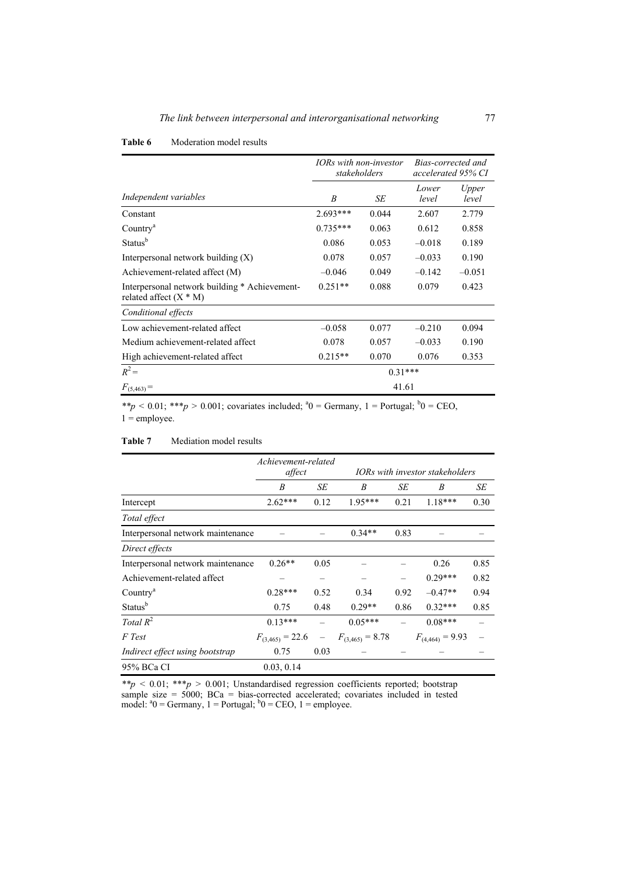|                                                                           |            | IORs with non-investor<br>stakeholders | Bias-corrected and<br>accelerated 95% CI |                |
|---------------------------------------------------------------------------|------------|----------------------------------------|------------------------------------------|----------------|
| Independent variables                                                     | B          | SE                                     | Lower<br>level                           | Upper<br>level |
| Constant                                                                  | $2.693***$ | 0.044                                  | 2.607                                    | 2.779          |
| Country <sup>a</sup>                                                      | $0.735***$ | 0.063                                  | 0.612                                    | 0.858          |
| Status <sup>b</sup>                                                       | 0.086      | 0.053                                  | $-0.018$                                 | 0.189          |
| Interpersonal network building $(X)$                                      | 0.078      | 0.057                                  | $-0.033$                                 | 0.190          |
| Achievement-related affect (M)                                            | $-0.046$   | 0.049                                  | $-0.142$                                 | $-0.051$       |
| Interpersonal network building * Achievement-<br>related affect $(X * M)$ | $0.251**$  | 0.088                                  | 0.079                                    | 0.423          |
| Conditional effects                                                       |            |                                        |                                          |                |
| Low achievement-related affect                                            | $-0.058$   | 0.077                                  | $-0.210$                                 | 0.094          |
| Medium achievement-related affect                                         | 0.078      | 0.057                                  | $-0.033$                                 | 0.190          |
| High achievement-related affect                                           | $0.215**$  | 0.070                                  | 0.076                                    | 0.353          |
| $R^2 =$                                                                   |            | $0.31***$                              |                                          |                |
| $F_{(5,463)} =$                                                           |            | 41.61                                  |                                          |                |

\*\*p < 0.01; \*\*\*p > 0.001; covariates included;  ${}^{4}0$  = Germany, 1 = Portugal;  ${}^{b}0$  = CEO,  $1 =$  employee.

### **Table 7** Mediation model results

|                                   | Achievement-related  |      |                                 |      |                      |      |  |
|-----------------------------------|----------------------|------|---------------------------------|------|----------------------|------|--|
|                                   | affect               |      | IORs with investor stakeholders |      |                      |      |  |
|                                   | B                    | SE   | B                               | SЕ   | B                    | SE   |  |
| Intercept                         | $2.62***$            | 0.12 | $1.95***$                       | 0.21 | $1.18***$            | 0.30 |  |
| Total effect                      |                      |      |                                 |      |                      |      |  |
| Interpersonal network maintenance |                      |      | $0.34**$                        | 0.83 |                      |      |  |
| Direct effects                    |                      |      |                                 |      |                      |      |  |
| Interpersonal network maintenance | $0.26**$             | 0.05 |                                 |      | 0.26                 | 0.85 |  |
| Achievement-related affect        |                      | —    |                                 |      | $0.29***$            | 0.82 |  |
| Country <sup>a</sup>              | $0.28***$            | 0.52 | 0.34                            | 0.92 | $-0.47**$            | 0.94 |  |
| Status <sup>b</sup>               | 0.75                 | 0.48 | $0.29**$                        | 0.86 | $0.32***$            | 0.85 |  |
| Total $R^2$                       | $0.13***$            |      | $0.05***$                       |      | $0.08***$            |      |  |
| F Test                            | $F_{(3,465)} = 22.6$ |      | $F_{(3,465)} = 8.78$            |      | $F_{(4,464)} = 9.93$ |      |  |
| Indirect effect using bootstrap   | 0.75                 | 0.03 |                                 |      |                      |      |  |
| 95% BCa CI                        | 0.03, 0.14           |      |                                 |      |                      |      |  |

*\*\*p <* 0*.*01; \*\*\**p >* 0*.*001; Unstandardised regression coefficients reported; bootstrap sample size  $= 5000$ ; BCa  $=$  bias-corrected accelerated; covariates included in tested model:  $a_0 = \text{Germany}, 1 = \text{Portugal}; b_0 = \text{CEO}, 1 = \text{employee}.$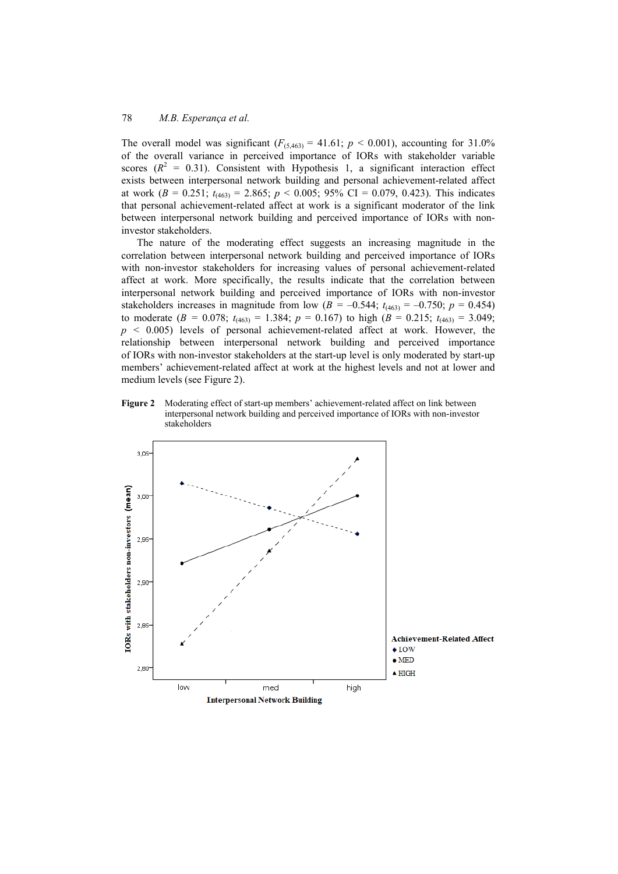The overall model was significant  $(F_{(5,463)} = 41.61; p \le 0.001)$ , accounting for 31.0% of the overall variance in perceived importance of IORs with stakeholder variable scores  $(R^2 = 0.31)$ . Consistent with Hypothesis 1, a significant interaction effect exists between interpersonal network building and personal achievement-related affect at work ( $B = 0.251$ ;  $t_{(463)} = 2.865$ ;  $p < 0.005$ ; 95% CI = 0.079, 0.423). This indicates that personal achievement-related affect at work is a significant moderator of the link between interpersonal network building and perceived importance of IORs with noninvestor stakeholders.

The nature of the moderating effect suggests an increasing magnitude in the correlation between interpersonal network building and perceived importance of IORs with non-investor stakeholders for increasing values of personal achievement-related affect at work. More specifically, the results indicate that the correlation between interpersonal network building and perceived importance of IORs with non-investor stakeholders increases in magnitude from low ( $B = -0.544$ ;  $t_{(463)} = -0.750$ ;  $p = 0.454$ ) to moderate ( $B = 0.078$ ;  $t_{(463)} = 1.384$ ;  $p = 0.167$ ) to high ( $B = 0.215$ ;  $t_{(463)} = 3.049$ ;  $p \le 0.005$ ) levels of personal achievement-related affect at work. However, the relationship between interpersonal network building and perceived importance of IORs with non-investor stakeholders at the start-up level is only moderated by start-up members' achievement-related affect at work at the highest levels and not at lower and medium levels (see Figure 2).

**Figure 2** Moderating effect of start-up members' achievement-related affect on link between interpersonal network building and perceived importance of IORs with non-investor stakeholders

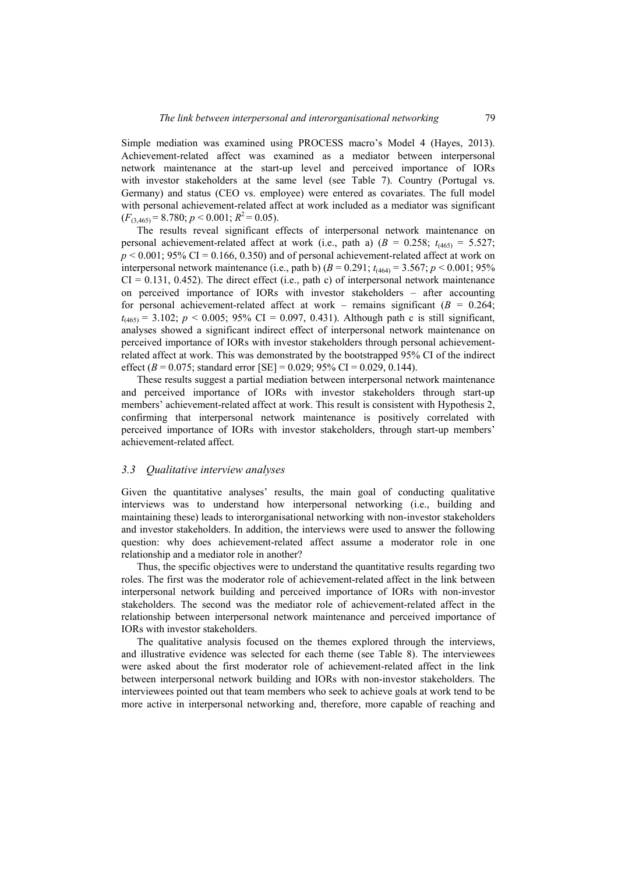Simple mediation was examined using PROCESS macro's Model 4 (Hayes, 2013). Achievement-related affect was examined as a mediator between interpersonal network maintenance at the start-up level and perceived importance of IORs with investor stakeholders at the same level (see Table 7). Country (Portugal vs. Germany) and status (CEO vs. employee) were entered as covariates. The full model with personal achievement-related affect at work included as a mediator was significant  $(F_{(3,465)} = 8.780; p < 0.001; R^2 = 0.05)$ .

The results reveal significant effects of interpersonal network maintenance on personal achievement-related affect at work (i.e., path a)  $(B = 0.258; t_{(465)} = 5.527;$  $p < 0.001$ ; 95% CI = 0.166, 0.350) and of personal achievement-related affect at work on interpersonal network maintenance (i.e., path b)  $(B = 0.291; t_{4464}) = 3.567; p < 0.001; 95\%$  $CI = 0.131, 0.452$ . The direct effect (i.e., path c) of interpersonal network maintenance on perceived importance of IORs with investor stakeholders – after accounting for personal achievement-related affect at work – remains significant  $(B = 0.264)$ ;  $t_{(465)} = 3.102$ ;  $p < 0.005$ ; 95% CI = 0.097, 0.431). Although path c is still significant, analyses showed a significant indirect effect of interpersonal network maintenance on perceived importance of IORs with investor stakeholders through personal achievementrelated affect at work. This was demonstrated by the bootstrapped 95% CI of the indirect effect (*B* = 0.075; standard error [SE] = 0.029; 95% CI = 0.029, 0.144).

These results suggest a partial mediation between interpersonal network maintenance and perceived importance of IORs with investor stakeholders through start-up members' achievement-related affect at work. This result is consistent with Hypothesis 2, confirming that interpersonal network maintenance is positively correlated with perceived importance of IORs with investor stakeholders, through start-up members' achievement-related affect.

### *3.3 Qualitative interview analyses*

Given the quantitative analyses' results, the main goal of conducting qualitative interviews was to understand how interpersonal networking (i.e., building and maintaining these) leads to interorganisational networking with non-investor stakeholders and investor stakeholders. In addition, the interviews were used to answer the following question: why does achievement-related affect assume a moderator role in one relationship and a mediator role in another?

Thus, the specific objectives were to understand the quantitative results regarding two roles. The first was the moderator role of achievement-related affect in the link between interpersonal network building and perceived importance of IORs with non-investor stakeholders. The second was the mediator role of achievement-related affect in the relationship between interpersonal network maintenance and perceived importance of IORs with investor stakeholders.

The qualitative analysis focused on the themes explored through the interviews, and illustrative evidence was selected for each theme (see Table 8). The interviewees were asked about the first moderator role of achievement-related affect in the link between interpersonal network building and IORs with non-investor stakeholders. The interviewees pointed out that team members who seek to achieve goals at work tend to be more active in interpersonal networking and, therefore, more capable of reaching and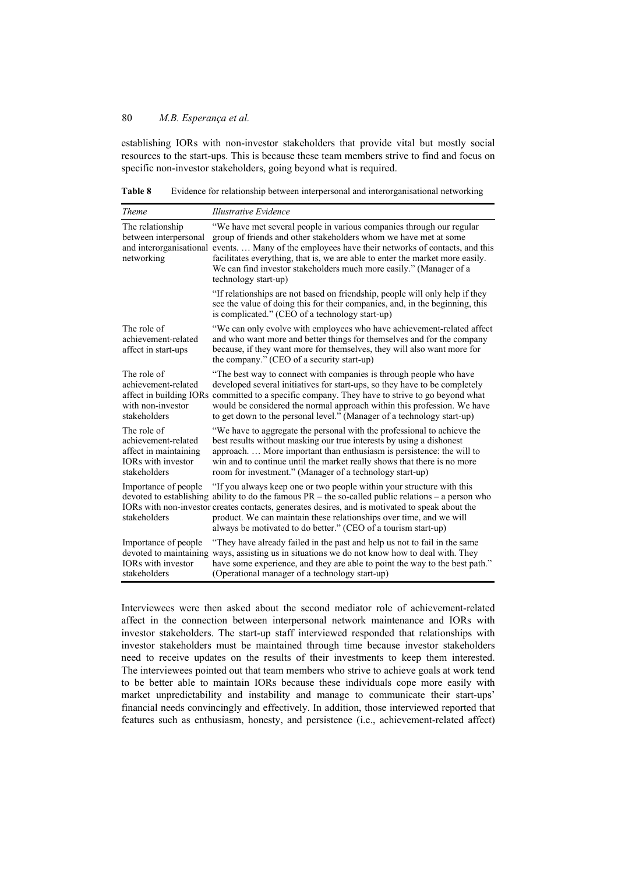establishing IORs with non-investor stakeholders that provide vital but mostly social resources to the start-ups. This is because these team members strive to find and focus on specific non-investor stakeholders, going beyond what is required.

| Theme                                                                                             | <b>Illustrative Evidence</b>                                                                                                                                                                                                                                                                                                                                                                                                 |  |  |  |  |
|---------------------------------------------------------------------------------------------------|------------------------------------------------------------------------------------------------------------------------------------------------------------------------------------------------------------------------------------------------------------------------------------------------------------------------------------------------------------------------------------------------------------------------------|--|--|--|--|
| The relationship<br>between interpersonal<br>networking                                           | "We have met several people in various companies through our regular<br>group of friends and other stakeholders whom we have met at some<br>and interorganisational events Many of the employees have their networks of contacts, and this<br>facilitates everything, that is, we are able to enter the market more easily.<br>We can find investor stakeholders much more easily." (Manager of a<br>technology start-up)    |  |  |  |  |
|                                                                                                   | "If relationships are not based on friendship, people will only help if they<br>see the value of doing this for their companies, and, in the beginning, this<br>is complicated." (CEO of a technology start-up)                                                                                                                                                                                                              |  |  |  |  |
| The role of<br>achievement-related<br>affect in start-ups                                         | "We can only evolve with employees who have achievement-related affect<br>and who want more and better things for themselves and for the company<br>because, if they want more for themselves, they will also want more for<br>the company." (CEO of a security start-up)                                                                                                                                                    |  |  |  |  |
| The role of<br>achievement-related<br>with non-investor<br>stakeholders                           | "The best way to connect with companies is through people who have<br>developed several initiatives for start-ups, so they have to be completely<br>affect in building IORs committed to a specific company. They have to strive to go beyond what<br>would be considered the normal approach within this profession. We have<br>to get down to the personal level." (Manager of a technology start-up)                      |  |  |  |  |
| The role of<br>achievement-related<br>affect in maintaining<br>IORs with investor<br>stakeholders | "We have to aggregate the personal with the professional to achieve the<br>best results without masking our true interests by using a dishonest<br>approach More important than enthusiasm is persistence: the will to<br>win and to continue until the market really shows that there is no more<br>room for investment." (Manager of a technology start-up)                                                                |  |  |  |  |
| Importance of people<br>stakeholders                                                              | "If you always keep one or two people within your structure with this<br>devoted to establishing ability to do the famous $PR -$ the so-called public relations $-$ a person who<br>IORs with non-investor creates contacts, generates desires, and is motivated to speak about the<br>product. We can maintain these relationships over time, and we will<br>always be motivated to do better." (CEO of a tourism start-up) |  |  |  |  |
| Importance of people<br>IORs with investor<br>stakeholders                                        | "They have already failed in the past and help us not to fail in the same<br>devoted to maintaining ways, assisting us in situations we do not know how to deal with. They<br>have some experience, and they are able to point the way to the best path."<br>(Operational manager of a technology start-up)                                                                                                                  |  |  |  |  |

**Table 8** Evidence for relationship between interpersonal and interorganisational networking

Interviewees were then asked about the second mediator role of achievement-related affect in the connection between interpersonal network maintenance and IORs with investor stakeholders. The start-up staff interviewed responded that relationships with investor stakeholders must be maintained through time because investor stakeholders need to receive updates on the results of their investments to keep them interested. The interviewees pointed out that team members who strive to achieve goals at work tend to be better able to maintain IORs because these individuals cope more easily with market unpredictability and instability and manage to communicate their start-ups' financial needs convincingly and effectively. In addition, those interviewed reported that features such as enthusiasm, honesty, and persistence (i.e., achievement-related affect)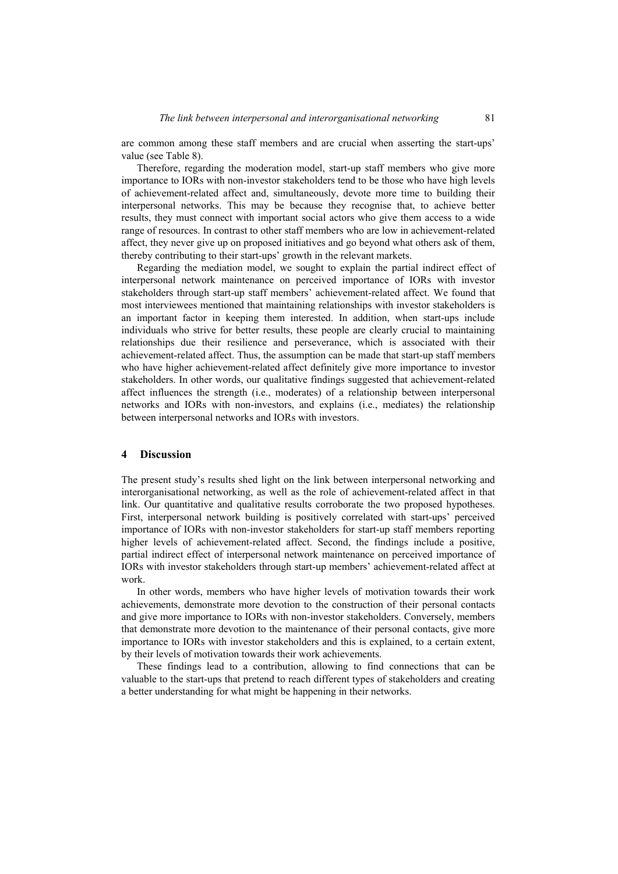are common among these staff members and are crucial when asserting the start-ups' value (see Table 8).

Therefore, regarding the moderation model, start-up staff members who give more importance to IORs with non-investor stakeholders tend to be those who have high levels of achievement-related affect and, simultaneously, devote more time to building their interpersonal networks. This may be because they recognise that, to achieve better results, they must connect with important social actors who give them access to a wide range of resources. In contrast to other staff members who are low in achievement-related affect, they never give up on proposed initiatives and go beyond what others ask of them, thereby contributing to their start-ups' growth in the relevant markets.

Regarding the mediation model, we sought to explain the partial indirect effect of interpersonal network maintenance on perceived importance of IORs with investor stakeholders through start-up staff members' achievement-related affect. We found that most interviewees mentioned that maintaining relationships with investor stakeholders is an important factor in keeping them interested. In addition, when start-ups include individuals who strive for better results, these people are clearly crucial to maintaining relationships due their resilience and perseverance, which is associated with their achievement-related affect. Thus, the assumption can be made that start-up staff members who have higher achievement-related affect definitely give more importance to investor stakeholders. In other words, our qualitative findings suggested that achievement-related affect influences the strength (i.e., moderates) of a relationship between interpersonal networks and IORs with non-investors, and explains (i.e., mediates) the relationship between interpersonal networks and IORs with investors.

#### **4 Discussion**

The present study's results shed light on the link between interpersonal networking and interorganisational networking, as well as the role of achievement-related affect in that link. Our quantitative and qualitative results corroborate the two proposed hypotheses. First, interpersonal network building is positively correlated with start-ups' perceived importance of IORs with non-investor stakeholders for start-up staff members reporting higher levels of achievement-related affect. Second, the findings include a positive, partial indirect effect of interpersonal network maintenance on perceived importance of IORs with investor stakeholders through start-up members' achievement-related affect at work.

In other words, members who have higher levels of motivation towards their work achievements, demonstrate more devotion to the construction of their personal contacts and give more importance to IORs with non-investor stakeholders. Conversely, members that demonstrate more devotion to the maintenance of their personal contacts, give more importance to IORs with investor stakeholders and this is explained, to a certain extent, by their levels of motivation towards their work achievements.

These findings lead to a contribution, allowing to find connections that can be valuable to the start-ups that pretend to reach different types of stakeholders and creating a better understanding for what might be happening in their networks.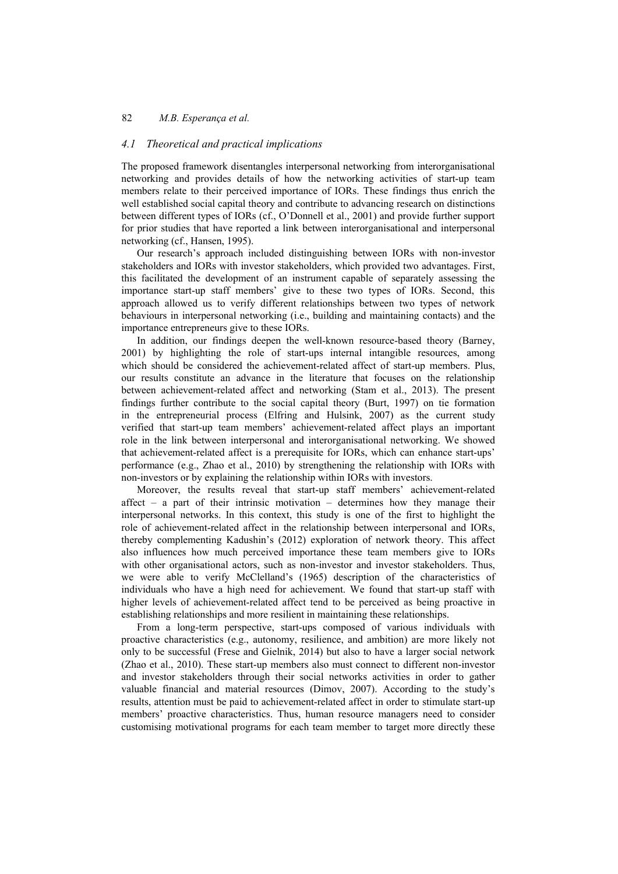### *4.1 Theoretical and practical implications*

The proposed framework disentangles interpersonal networking from interorganisational networking and provides details of how the networking activities of start-up team members relate to their perceived importance of IORs. These findings thus enrich the well established social capital theory and contribute to advancing research on distinctions between different types of IORs (cf., O'Donnell et al., 2001) and provide further support for prior studies that have reported a link between interorganisational and interpersonal networking (cf., Hansen, 1995).

Our research's approach included distinguishing between IORs with non-investor stakeholders and IORs with investor stakeholders, which provided two advantages. First, this facilitated the development of an instrument capable of separately assessing the importance start-up staff members' give to these two types of IORs. Second, this approach allowed us to verify different relationships between two types of network behaviours in interpersonal networking (i.e., building and maintaining contacts) and the importance entrepreneurs give to these IORs.

In addition, our findings deepen the well-known resource-based theory (Barney, 2001) by highlighting the role of start-ups internal intangible resources, among which should be considered the achievement-related affect of start-up members. Plus, our results constitute an advance in the literature that focuses on the relationship between achievement-related affect and networking (Stam et al., 2013). The present findings further contribute to the social capital theory (Burt, 1997) on tie formation in the entrepreneurial process (Elfring and Hulsink, 2007) as the current study verified that start-up team members' achievement-related affect plays an important role in the link between interpersonal and interorganisational networking. We showed that achievement-related affect is a prerequisite for IORs, which can enhance start-ups' performance (e.g., Zhao et al., 2010) by strengthening the relationship with IORs with non-investors or by explaining the relationship within IORs with investors.

Moreover, the results reveal that start-up staff members' achievement-related affect – a part of their intrinsic motivation – determines how they manage their interpersonal networks. In this context, this study is one of the first to highlight the role of achievement-related affect in the relationship between interpersonal and IORs, thereby complementing Kadushin's (2012) exploration of network theory. This affect also influences how much perceived importance these team members give to IORs with other organisational actors, such as non-investor and investor stakeholders. Thus, we were able to verify McClelland's (1965) description of the characteristics of individuals who have a high need for achievement. We found that start-up staff with higher levels of achievement-related affect tend to be perceived as being proactive in establishing relationships and more resilient in maintaining these relationships.

From a long-term perspective, start-ups composed of various individuals with proactive characteristics (e.g., autonomy, resilience, and ambition) are more likely not only to be successful (Frese and Gielnik, 2014) but also to have a larger social network (Zhao et al., 2010). These start-up members also must connect to different non-investor and investor stakeholders through their social networks activities in order to gather valuable financial and material resources (Dimov, 2007). According to the study's results, attention must be paid to achievement-related affect in order to stimulate start-up members' proactive characteristics. Thus, human resource managers need to consider customising motivational programs for each team member to target more directly these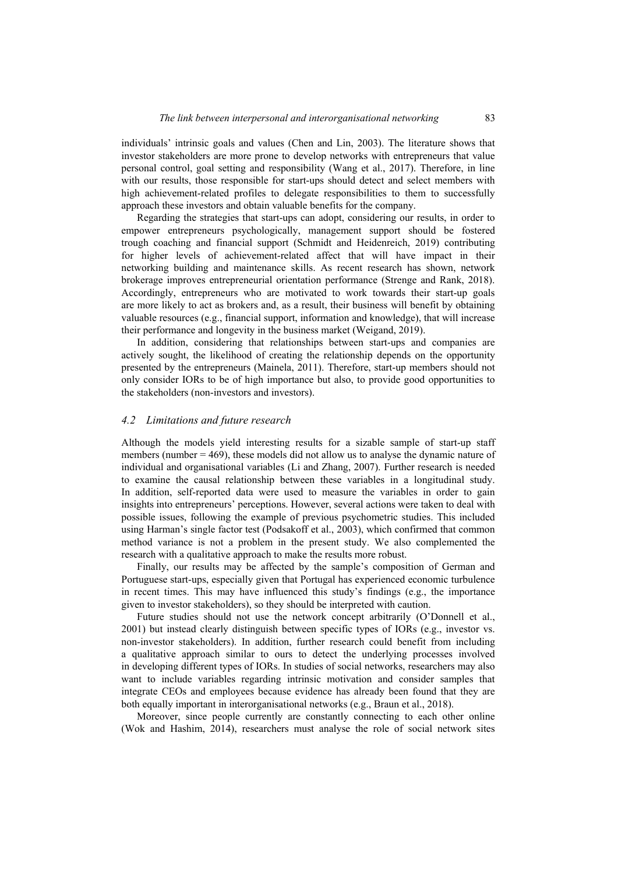individuals' intrinsic goals and values (Chen and Lin, 2003). The literature shows that investor stakeholders are more prone to develop networks with entrepreneurs that value personal control, goal setting and responsibility (Wang et al., 2017). Therefore, in line with our results, those responsible for start-ups should detect and select members with high achievement-related profiles to delegate responsibilities to them to successfully approach these investors and obtain valuable benefits for the company.

Regarding the strategies that start-ups can adopt, considering our results, in order to empower entrepreneurs psychologically, management support should be fostered trough coaching and financial support (Schmidt and Heidenreich, 2019) contributing for higher levels of achievement-related affect that will have impact in their networking building and maintenance skills. As recent research has shown, network brokerage improves entrepreneurial orientation performance (Strenge and Rank, 2018). Accordingly, entrepreneurs who are motivated to work towards their start-up goals are more likely to act as brokers and, as a result, their business will benefit by obtaining valuable resources (e.g., financial support, information and knowledge), that will increase their performance and longevity in the business market (Weigand, 2019).

In addition, considering that relationships between start-ups and companies are actively sought, the likelihood of creating the relationship depends on the opportunity presented by the entrepreneurs (Mainela, 2011). Therefore, start-up members should not only consider IORs to be of high importance but also, to provide good opportunities to the stakeholders (non-investors and investors).

#### *4.2 Limitations and future research*

Although the models yield interesting results for a sizable sample of start-up staff members (number  $= 469$ ), these models did not allow us to analyse the dynamic nature of individual and organisational variables (Li and Zhang, 2007). Further research is needed to examine the causal relationship between these variables in a longitudinal study. In addition, self-reported data were used to measure the variables in order to gain insights into entrepreneurs' perceptions. However, several actions were taken to deal with possible issues, following the example of previous psychometric studies. This included using Harman's single factor test (Podsakoff et al., 2003), which confirmed that common method variance is not a problem in the present study. We also complemented the research with a qualitative approach to make the results more robust.

Finally, our results may be affected by the sample's composition of German and Portuguese start-ups, especially given that Portugal has experienced economic turbulence in recent times. This may have influenced this study's findings (e.g., the importance given to investor stakeholders), so they should be interpreted with caution.

Future studies should not use the network concept arbitrarily (O'Donnell et al., 2001) but instead clearly distinguish between specific types of IORs (e.g., investor vs. non-investor stakeholders). In addition, further research could benefit from including a qualitative approach similar to ours to detect the underlying processes involved in developing different types of IORs. In studies of social networks, researchers may also want to include variables regarding intrinsic motivation and consider samples that integrate CEOs and employees because evidence has already been found that they are both equally important in interorganisational networks (e.g., Braun et al., 2018).

Moreover, since people currently are constantly connecting to each other online (Wok and Hashim, 2014), researchers must analyse the role of social network sites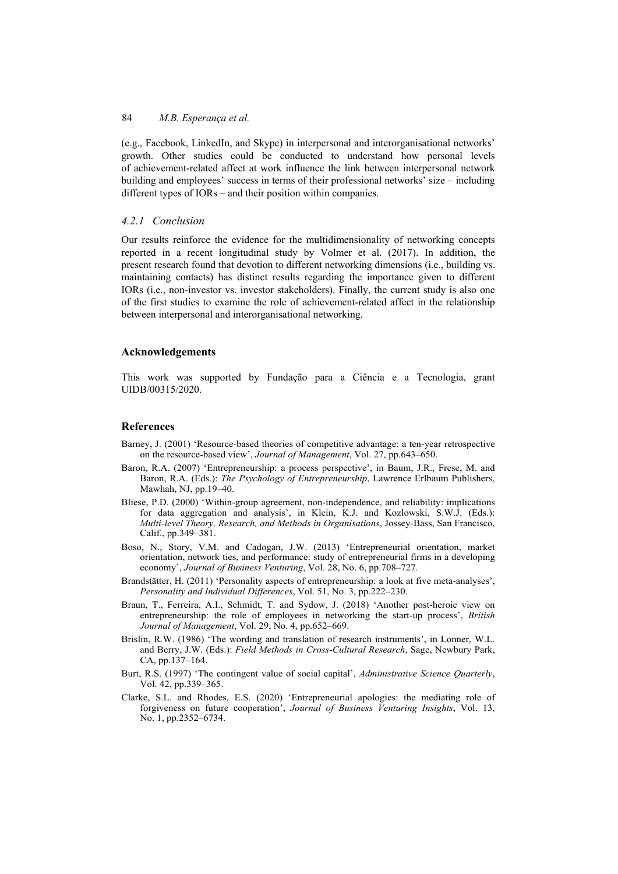(e.g., Facebook, LinkedIn, and Skype) in interpersonal and interorganisational networks' growth. Other studies could be conducted to understand how personal levels of achievement-related affect at work influence the link between interpersonal network building and employees' success in terms of their professional networks' size – including different types of IORs – and their position within companies.

## *4.2.1 Conclusion*

Our results reinforce the evidence for the multidimensionality of networking concepts reported in a recent longitudinal study by Volmer et al. (2017). In addition, the present research found that devotion to different networking dimensions (i.e., building vs. maintaining contacts) has distinct results regarding the importance given to different IORs (i.e., non-investor vs. investor stakeholders). Finally, the current study is also one of the first studies to examine the role of achievement-related affect in the relationship between interpersonal and interorganisational networking.

### **Acknowledgements**

This work was supported by Fundação para a Ciência e a Tecnologia, grant UIDB/00315/2020.

## **References**

- Barney, J. (2001) 'Resource-based theories of competitive advantage: a ten-year retrospective on the resource-based view', *Journal of Management*, Vol. 27, pp.643–650.
- Baron, R.A. (2007) 'Entrepreneurship: a process perspective', in Baum, J.R., Frese, M. and Baron, R.A. (Eds.): *The Psychology of Entrepreneurship*, Lawrence Erlbaum Publishers, Mawhah, NJ, pp.19–40.
- Bliese, P.D. (2000) 'Within-group agreement, non-independence, and reliability: implications for data aggregation and analysis', in Klein, K.J. and Kozlowski, S.W.J. (Eds.): *Multi-level Theory, Research, and Methods in Organisations*, Jossey-Bass, San Francisco, Calif., pp.349–381.
- Boso, N., Story, V.M. and Cadogan, J.W. (2013) 'Entrepreneurial orientation, market orientation, network ties, and performance: study of entrepreneurial firms in a developing economy', *Journal of Business Venturing*, Vol. 28, No. 6, pp.708–727.
- Brandstätter, H. (2011) 'Personality aspects of entrepreneurship: a look at five meta-analyses', *Personality and Individual Differences*, Vol. 51, No. 3, pp.222–230.
- Braun, T., Ferreira, A.I., Schmidt, T. and Sydow, J. (2018) 'Another post-heroic view on entrepreneurship: the role of employees in networking the start-up process', *British Journal of Management*, Vol. 29, No. 4, pp.652–669.
- Brislin, R.W. (1986) 'The wording and translation of research instruments', in Lonner, W.L. and Berry, J.W. (Eds.): *Field Methods in Cross-Cultural Research*, Sage, Newbury Park, CA, pp.137–164.
- Burt, R.S. (1997) 'The contingent value of social capital', *Administrative Science Quarterly*, Vol. 42, pp.339–365.
- Clarke, S.L. and Rhodes, E.S. (2020) 'Entrepreneurial apologies: the mediating role of forgiveness on future cooperation', *Journal of Business Venturing Insights*, Vol. 13, No. 1, pp.2352–6734.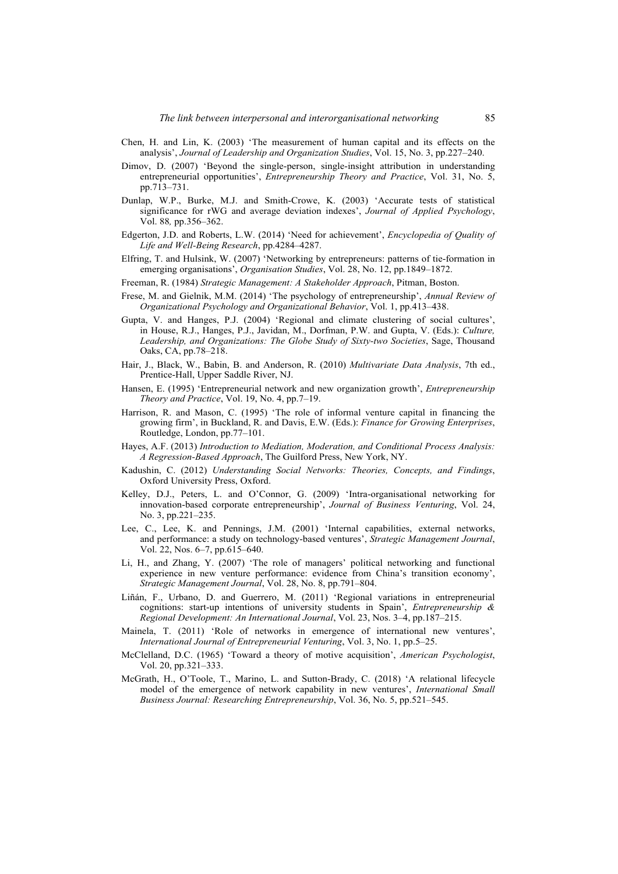- Chen, H. and Lin, K. (2003) 'The measurement of human capital and its effects on the analysis', *Journal of Leadership and Organization Studies*, Vol. 15, No. 3, pp.227–240.
- Dimov, D. (2007) 'Beyond the single-person, single-insight attribution in understanding entrepreneurial opportunities', *Entrepreneurship Theory and Practice*, Vol. 31, No. 5, pp.713–731.
- Dunlap, W.P., Burke, M.J. and Smith-Crowe, K. (2003) 'Accurate tests of statistical significance for rWG and average deviation indexes', *Journal of Applied Psychology*, Vol. 88*,* pp.356–362.
- Edgerton, J.D. and Roberts, L.W. (2014) 'Need for achievement', *Encyclopedia of Quality of Life and Well-Being Research*, pp.4284–4287.
- Elfring, T. and Hulsink, W. (2007) 'Networking by entrepreneurs: patterns of tie-formation in emerging organisations', *Organisation Studies*, Vol. 28, No. 12, pp.1849–1872.
- Freeman, R. (1984) *Strategic Management: A Stakeholder Approach*, Pitman, Boston.
- Frese, M. and Gielnik, M.M. (2014) 'The psychology of entrepreneurship', *Annual Review of Organizational Psychology and Organizational Behavior*, Vol. 1, pp.413–438.
- Gupta, V. and Hanges, P.J. (2004) 'Regional and climate clustering of social cultures', in House, R.J., Hanges, P.J., Javidan, M., Dorfman, P.W. and Gupta, V. (Eds.): *Culture, Leadership, and Organizations: The Globe Study of Sixty-two Societies*, Sage, Thousand Oaks, CA, pp.78–218.
- Hair, J., Black, W., Babin, B. and Anderson, R. (2010) *Multivariate Data Analysis*, 7th ed., Prentice-Hall, Upper Saddle River, NJ.
- Hansen, E. (1995) 'Entrepreneurial network and new organization growth', *Entrepreneurship Theory and Practice*, Vol. 19, No. 4, pp.7–19.
- Harrison, R. and Mason, C. (1995) 'The role of informal venture capital in financing the growing firm', in Buckland, R. and Davis, E.W. (Eds.): *Finance for Growing Enterprises*, Routledge, London, pp.77–101.
- Hayes, A.F. (2013) *Introduction to Mediation, Moderation, and Conditional Process Analysis: A Regression-Based Approach*, The Guilford Press, New York, NY.
- Kadushin, C. (2012) *Understanding Social Networks: Theories, Concepts, and Findings*, Oxford University Press, Oxford.
- Kelley, D.J., Peters, L. and O'Connor, G. (2009) 'Intra-organisational networking for innovation-based corporate entrepreneurship', *Journal of Business Venturing*, Vol. 24, No. 3, pp.221–235.
- Lee, C., Lee, K. and Pennings, J.M. (2001) 'Internal capabilities, external networks, and performance: a study on technology-based ventures', *Strategic Management Journal*, Vol. 22, Nos. 6–7, pp.615–640.
- Li, H., and Zhang, Y. (2007) 'The role of managers' political networking and functional experience in new venture performance: evidence from China's transition economy', *Strategic Management Journal*, Vol. 28, No. 8, pp.791–804.
- Liñán, F., Urbano, D. and Guerrero, M. (2011) 'Regional variations in entrepreneurial cognitions: start-up intentions of university students in Spain', *Entrepreneurship & Regional Development: An International Journal*, Vol. 23, Nos. 3–4, pp.187–215.
- Mainela, T. (2011) 'Role of networks in emergence of international new ventures', *International Journal of Entrepreneurial Venturing*, Vol. 3, No. 1, pp.5–25.
- McClelland, D.C. (1965) 'Toward a theory of motive acquisition', *American Psychologist*, Vol. 20, pp.321–333.
- McGrath, H., O'Toole, T., Marino, L. and Sutton-Brady, C. (2018) 'A relational lifecycle model of the emergence of network capability in new ventures', *International Small Business Journal: Researching Entrepreneurship*, Vol. 36, No. 5, pp.521–545.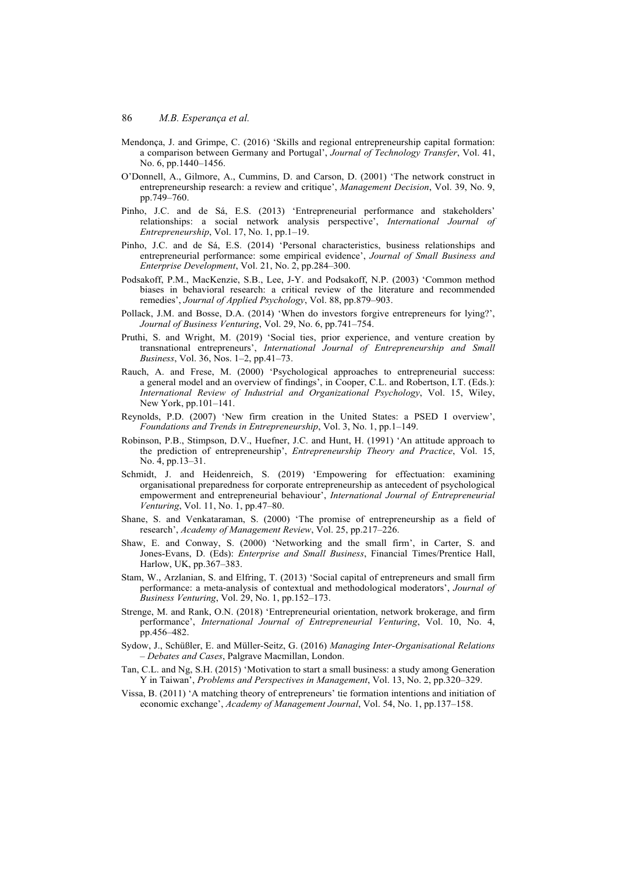- Mendonça, J. and Grimpe, C. (2016) 'Skills and regional entrepreneurship capital formation: a comparison between Germany and Portugal', *Journal of Technology Transfer*, Vol. 41, No. 6, pp.1440–1456.
- O'Donnell, A., Gilmore, A., Cummins, D. and Carson, D. (2001) 'The network construct in entrepreneurship research: a review and critique', *Management Decision*, Vol. 39, No. 9, pp.749–760.
- Pinho, J.C. and de Sá, E.S. (2013) 'Entrepreneurial performance and stakeholders' relationships: a social network analysis perspective', *International Journal of Entrepreneurship*, Vol. 17, No. 1, pp.1–19.
- Pinho, J.C. and de Sá, E.S. (2014) 'Personal characteristics, business relationships and entrepreneurial performance: some empirical evidence', *Journal of Small Business and Enterprise Development*, Vol. 21, No. 2, pp.284–300.
- Podsakoff, P.M., MacKenzie, S.B., Lee, J-Y. and Podsakoff, N.P. (2003) 'Common method biases in behavioral research: a critical review of the literature and recommended remedies', *Journal of Applied Psychology*, Vol. 88, pp.879–903.
- Pollack, J.M. and Bosse, D.A. (2014) 'When do investors forgive entrepreneurs for lying?', *Journal of Business Venturing*, Vol. 29, No. 6, pp.741–754.
- Pruthi, S. and Wright, M. (2019) 'Social ties, prior experience, and venture creation by transnational entrepreneurs', *International Journal of Entrepreneurship and Small Business*, Vol. 36, Nos. 1–2, pp.41–73.
- Rauch, A. and Frese, M. (2000) 'Psychological approaches to entrepreneurial success: a general model and an overview of findings', in Cooper, C.L. and Robertson, I.T. (Eds.): *International Review of Industrial and Organizational Psychology*, Vol. 15, Wiley, New York, pp.101–141.
- Reynolds, P.D. (2007) 'New firm creation in the United States: a PSED I overview', *Foundations and Trends in Entrepreneurship*, Vol. 3, No. 1, pp.1–149.
- Robinson, P.B., Stimpson, D.V., Huefner, J.C. and Hunt, H. (1991) 'An attitude approach to the prediction of entrepreneurship', *Entrepreneurship Theory and Practice*, Vol. 15, No. 4, pp.13–31.
- Schmidt, J. and Heidenreich, S. (2019) 'Empowering for effectuation: examining organisational preparedness for corporate entrepreneurship as antecedent of psychological empowerment and entrepreneurial behaviour', *International Journal of Entrepreneurial Venturing*, Vol. 11, No. 1, pp.47–80.
- Shane, S. and Venkataraman, S. (2000) 'The promise of entrepreneurship as a field of research', *Academy of Management Review*, Vol. 25, pp.217–226.
- Shaw, E. and Conway, S. (2000) 'Networking and the small firm', in Carter, S. and Jones-Evans, D. (Eds): *Enterprise and Small Business*, Financial Times/Prentice Hall, Harlow, UK, pp.367–383.
- Stam, W., Arzlanian, S. and Elfring, T. (2013) 'Social capital of entrepreneurs and small firm performance: a meta-analysis of contextual and methodological moderators', *Journal of Business Venturing*, Vol. 29, No. 1, pp.152–173.
- Strenge, M. and Rank, O.N. (2018) 'Entrepreneurial orientation, network brokerage, and firm performance', *International Journal of Entrepreneurial Venturing*, Vol. 10, No. 4, pp.456–482.
- Sydow, J., Schüßler, E. and Müller-Seitz, G. (2016) *Managing Inter-Organisational Relations – Debates and Cases*, Palgrave Macmillan, London.
- Tan, C.L. and Ng, S.H. (2015) 'Motivation to start a small business: a study among Generation Y in Taiwan', *Problems and Perspectives in Management*, Vol. 13, No. 2, pp.320–329.
- Vissa, B. (2011) 'A matching theory of entrepreneurs' tie formation intentions and initiation of economic exchange', *Academy of Management Journal*, Vol. 54, No. 1, pp.137–158.